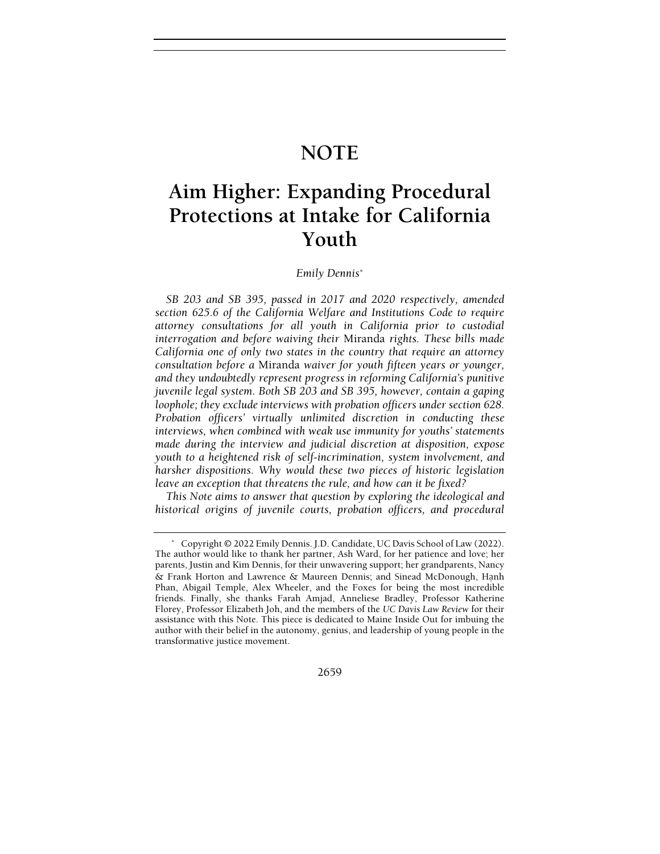## NOTE

# Aim Higher: Expanding Procedural Protections at Intake for California Youth

## Emily Dennis\*

SB 203 and SB 395, passed in 2017 and 2020 respectively, amended section 625.6 of the California Welfare and Institutions Code to require attorney consultations for all youth in California prior to custodial interrogation and before waiving their Miranda rights. These bills made California one of only two states in the country that require an attorney consultation before a Miranda waiver for youth fifteen years or younger, and they undoubtedly represent progress in reforming California's punitive juvenile legal system. Both SB 203 and SB 395, however, contain a gaping loophole; they exclude interviews with probation officers under section 628. Probation officers' virtually unlimited discretion in conducting these interviews, when combined with weak use immunity for youths' statements made during the interview and judicial discretion at disposition, expose youth to a heightened risk of self-incrimination, system involvement, and harsher dispositions. Why would these two pieces of historic legislation leave an exception that threatens the rule, and how can it be fixed?

This Note aims to answer that question by exploring the ideological and historical origins of juvenile courts, probation officers, and procedural

 <sup>\*</sup> Copyright © 2022 Emily Dennis. J.D. Candidate, UC Davis School of Law (2022). The author would like to thank her partner, Ash Ward, for her patience and love; her parents, Justin and Kim Dennis, for their unwavering support; her grandparents, Nancy & Frank Horton and Lawrence & Maureen Dennis; and Sinead McDonough, Hạnh Phan, Abigail Temple, Alex Wheeler, and the Foxes for being the most incredible friends. Finally, she thanks Farah Amjad, Anneliese Bradley, Professor Katherine Florey, Professor Elizabeth Joh, and the members of the UC Davis Law Review for their assistance with this Note. This piece is dedicated to Maine Inside Out for imbuing the author with their belief in the autonomy, genius, and leadership of young people in the transformative justice movement.

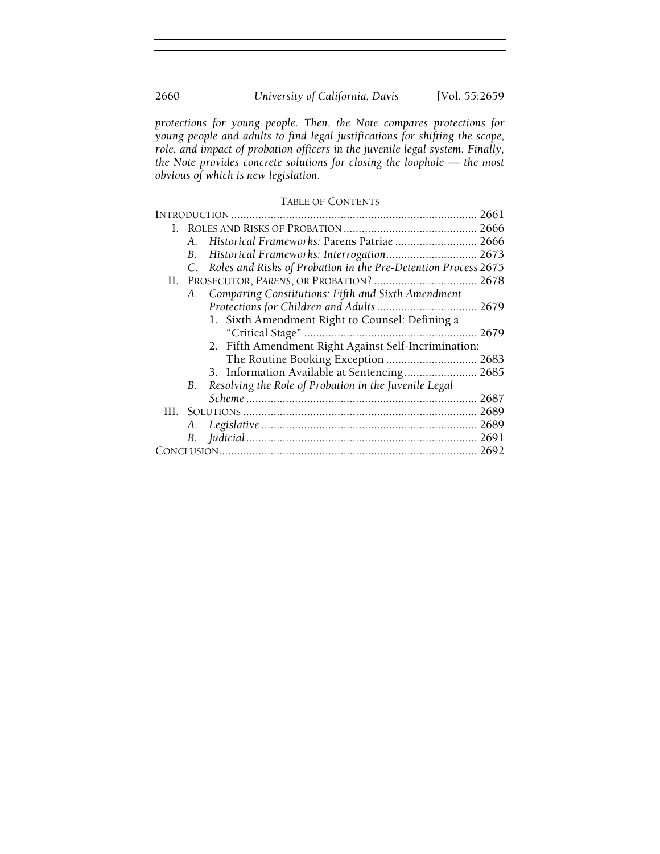protections for young people. Then, the Note compares protections for young people and adults to find legal justifications for shifting the scope, role, and impact of probation officers in the juvenile legal system. Finally, the Note provides concrete solutions for closing the loophole — the most obvious of which is new legislation.

## TABLE OF CONTENTS

|     |             |                                                                | 2661 |
|-----|-------------|----------------------------------------------------------------|------|
| L.  |             |                                                                |      |
|     | A.          | Historical Frameworks: Parens Patriae  2666                    |      |
|     | В.          | Historical Frameworks: Interrogation 2673                      |      |
|     | $C_{\cdot}$ | Roles and Risks of Probation in the Pre-Detention Process 2675 |      |
|     |             |                                                                |      |
|     |             | A. Comparing Constitutions: Fifth and Sixth Amendment          |      |
|     |             |                                                                |      |
|     |             | 1. Sixth Amendment Right to Counsel: Defining a                |      |
|     |             |                                                                |      |
|     |             | 2. Fifth Amendment Right Against Self-Incrimination:           |      |
|     |             | The Routine Booking Exception  2683                            |      |
|     |             | 3. Information Available at Sentencing 2685                    |      |
|     | В.          | Resolving the Role of Probation in the Juvenile Legal          |      |
|     |             |                                                                |      |
| HL. |             |                                                                |      |
|     | А.          |                                                                |      |
|     |             |                                                                |      |
|     |             |                                                                |      |
|     |             |                                                                |      |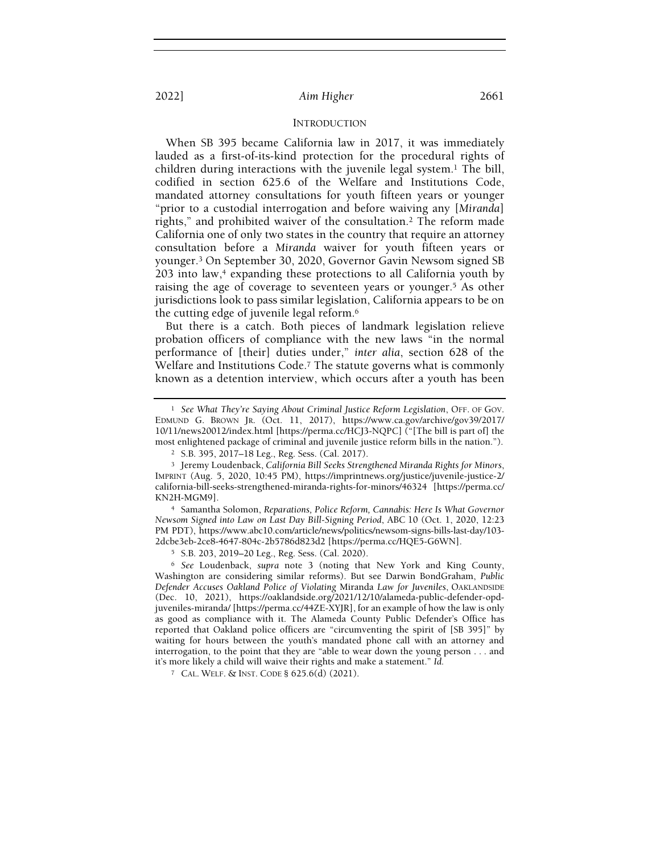## INTRODUCTION

When SB 395 became California law in 2017, it was immediately lauded as a first-of-its-kind protection for the procedural rights of children during interactions with the juvenile legal system.1 The bill, codified in section 625.6 of the Welfare and Institutions Code, mandated attorney consultations for youth fifteen years or younger "prior to a custodial interrogation and before waiving any [Miranda] rights," and prohibited waiver of the consultation.2 The reform made California one of only two states in the country that require an attorney consultation before a Miranda waiver for youth fifteen years or younger.3 On September 30, 2020, Governor Gavin Newsom signed SB 203 into law,<sup>4</sup> expanding these protections to all California youth by raising the age of coverage to seventeen years or younger.5 As other jurisdictions look to pass similar legislation, California appears to be on the cutting edge of juvenile legal reform.<sup>6</sup>

But there is a catch. Both pieces of landmark legislation relieve probation officers of compliance with the new laws "in the normal performance of [their] duties under," inter alia, section 628 of the Welfare and Institutions Code.<sup>7</sup> The statute governs what is commonly known as a detention interview, which occurs after a youth has been

<sup>4</sup> Samantha Solomon, Reparations, Police Reform, Cannabis: Here Is What Governor Newsom Signed into Law on Last Day Bill-Signing Period, ABC 10 (Oct. 1, 2020, 12:23 PM PDT), https://www.abc10.com/article/news/politics/newsom-signs-bills-last-day/103- 2dcbe3eb-2ce8-4647-804c-2b5786d823d2 [https://perma.cc/HQE5-G6WN].

<sup>5</sup> S.B. 203, 2019–20 Leg., Reg. Sess. (Cal. 2020).

<sup>6</sup> See Loudenback, supra note 3 (noting that New York and King County, Washington are considering similar reforms). But see Darwin BondGraham, Public Defender Accuses Oakland Police of Violating Miranda Law for Juveniles, OAKLANDSIDE (Dec. 10, 2021), https://oaklandside.org/2021/12/10/alameda-public-defender-opdjuveniles-miranda/ [https://perma.cc/44ZE-XYJR], for an example of how the law is only as good as compliance with it. The Alameda County Public Defender's Office has reported that Oakland police officers are "circumventing the spirit of [SB 395]" by waiting for hours between the youth's mandated phone call with an attorney and interrogation, to the point that they are "able to wear down the young person . . . and it's more likely a child will waive their rights and make a statement." Id.

<sup>7</sup> CAL. WELF. & INST. CODE § 625.6(d) (2021).

<sup>&</sup>lt;sup>1</sup> See What They're Saying About Criminal Justice Reform Legislation, OFF. OF GOV. EDMUND G. BROWN JR. (Oct. 11, 2017), https://www.ca.gov/archive/gov39/2017/ 10/11/news20012/index.html [https://perma.cc/HCJ3-NQPC] ("[The bill is part of] the most enlightened package of criminal and juvenile justice reform bills in the nation.").

<sup>2</sup> S.B. 395, 2017–18 Leg., Reg. Sess. (Cal. 2017).

<sup>&</sup>lt;sup>3</sup> Jeremy Loudenback, California Bill Seeks Strengthened Miranda Rights for Minors, IMPRINT (Aug. 5, 2020, 10:45 PM), https://imprintnews.org/justice/juvenile-justice-2/ california-bill-seeks-strengthened-miranda-rights-for-minors/46324 [https://perma.cc/ KN2H-MGM9].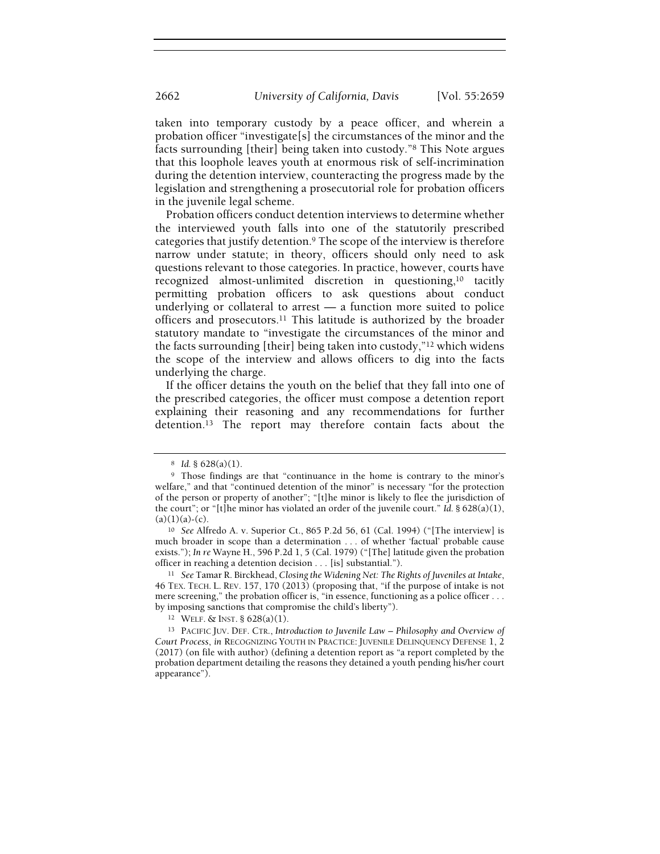taken into temporary custody by a peace officer, and wherein a probation officer "investigate[s] the circumstances of the minor and the facts surrounding [their] being taken into custody."8 This Note argues that this loophole leaves youth at enormous risk of self-incrimination during the detention interview, counteracting the progress made by the legislation and strengthening a prosecutorial role for probation officers in the juvenile legal scheme.

Probation officers conduct detention interviews to determine whether the interviewed youth falls into one of the statutorily prescribed categories that justify detention.9 The scope of the interview is therefore narrow under statute; in theory, officers should only need to ask questions relevant to those categories. In practice, however, courts have recognized almost-unlimited discretion in questioning,10 tacitly permitting probation officers to ask questions about conduct underlying or collateral to arrest — a function more suited to police officers and prosecutors.11 This latitude is authorized by the broader statutory mandate to "investigate the circumstances of the minor and the facts surrounding [their] being taken into custody,"12 which widens the scope of the interview and allows officers to dig into the facts underlying the charge.

If the officer detains the youth on the belief that they fall into one of the prescribed categories, the officer must compose a detention report explaining their reasoning and any recommendations for further detention.13 The report may therefore contain facts about the

 $8$  Id. § 628(a)(1).

<sup>9</sup> Those findings are that "continuance in the home is contrary to the minor's welfare," and that "continued detention of the minor" is necessary "for the protection of the person or property of another"; "[t]he minor is likely to flee the jurisdiction of the court"; or "[t]he minor has violated an order of the juvenile court." Id.  $\S 628(a)(1)$ ,  $(a)(1)(a)-(c)$ .

<sup>10</sup> See Alfredo A. v. Superior Ct., 865 P.2d 56, 61 (Cal. 1994) ("[The interview] is much broader in scope than a determination . . . of whether 'factual' probable cause exists."); In re Wayne H., 596 P.2d 1, 5 (Cal. 1979) ("[The] latitude given the probation officer in reaching a detention decision . . . [is] substantial.").

<sup>&</sup>lt;sup>11</sup> See Tamar R. Birckhead, Closing the Widening Net: The Rights of Juveniles at Intake, 46 TEX. TECH. L. REV. 157, 170 (2013) (proposing that, "if the purpose of intake is not mere screening," the probation officer is, "in essence, functioning as a police officer . . . by imposing sanctions that compromise the child's liberty").

<sup>12</sup> WELF. & INST. § 628(a)(1).

<sup>&</sup>lt;sup>13</sup> PACIFIC JUV. DEF. CTR., Introduction to Juvenile Law – Philosophy and Overview of Court Process, in RECOGNIZING YOUTH IN PRACTICE: JUVENILE DELINQUENCY DEFENSE 1, 2 (2017) (on file with author) (defining a detention report as "a report completed by the probation department detailing the reasons they detained a youth pending his/her court appearance").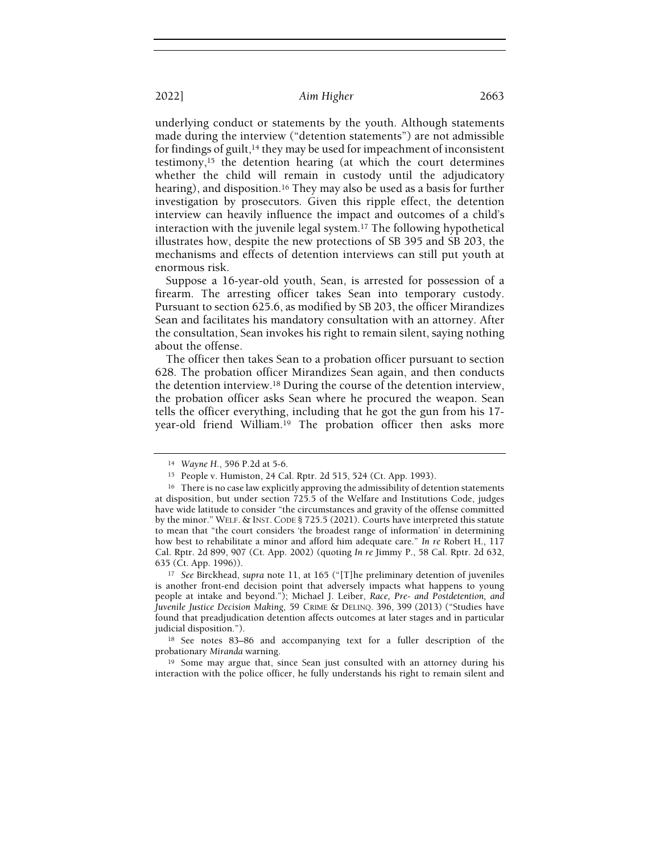underlying conduct or statements by the youth. Although statements made during the interview ("detention statements") are not admissible for findings of guilt,<sup>14</sup> they may be used for impeachment of inconsistent testimony,15 the detention hearing (at which the court determines whether the child will remain in custody until the adjudicatory hearing), and disposition.<sup>16</sup> They may also be used as a basis for further investigation by prosecutors. Given this ripple effect, the detention interview can heavily influence the impact and outcomes of a child's interaction with the juvenile legal system.17 The following hypothetical illustrates how, despite the new protections of SB 395 and SB 203, the mechanisms and effects of detention interviews can still put youth at enormous risk.

Suppose a 16-year-old youth, Sean, is arrested for possession of a firearm. The arresting officer takes Sean into temporary custody. Pursuant to section 625.6, as modified by SB 203, the officer Mirandizes Sean and facilitates his mandatory consultation with an attorney. After the consultation, Sean invokes his right to remain silent, saying nothing about the offense.

The officer then takes Sean to a probation officer pursuant to section 628. The probation officer Mirandizes Sean again, and then conducts the detention interview.18 During the course of the detention interview, the probation officer asks Sean where he procured the weapon. Sean tells the officer everything, including that he got the gun from his 17 year-old friend William.19 The probation officer then asks more

<sup>14</sup> Wayne H., 596 P.2d at 5-6.

<sup>15</sup> People v. Humiston, 24 Cal. Rptr. 2d 515, 524 (Ct. App. 1993).

<sup>&</sup>lt;sup>16</sup> There is no case law explicitly approving the admissibility of detention statements at disposition, but under section 725.5 of the Welfare and Institutions Code, judges have wide latitude to consider "the circumstances and gravity of the offense committed by the minor." WELF. & INST. CODE § 725.5 (2021). Courts have interpreted this statute to mean that "the court considers 'the broadest range of information' in determining how best to rehabilitate a minor and afford him adequate care." In re Robert H., 117 Cal. Rptr. 2d 899, 907 (Ct. App. 2002) (quoting In re Jimmy P., 58 Cal. Rptr. 2d 632, 635 (Ct. App. 1996)).

<sup>&</sup>lt;sup>17</sup> See Birckhead, supra note 11, at 165 ("[T]he preliminary detention of juveniles is another front-end decision point that adversely impacts what happens to young people at intake and beyond."); Michael J. Leiber, Race, Pre- and Postdetention, and Juvenile Justice Decision Making, 59 CRIME & DELINQ. 396, 399 (2013) ("Studies have found that preadjudication detention affects outcomes at later stages and in particular judicial disposition.").

<sup>18</sup> See notes 83–86 and accompanying text for a fuller description of the probationary Miranda warning.

<sup>19</sup> Some may argue that, since Sean just consulted with an attorney during his interaction with the police officer, he fully understands his right to remain silent and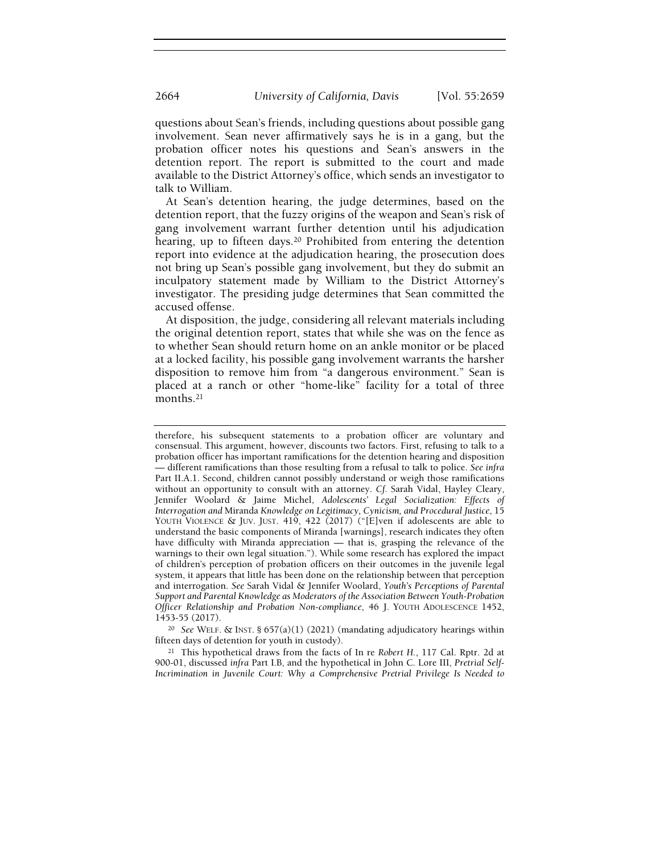questions about Sean's friends, including questions about possible gang involvement. Sean never affirmatively says he is in a gang, but the probation officer notes his questions and Sean's answers in the detention report. The report is submitted to the court and made available to the District Attorney's office, which sends an investigator to talk to William.

At Sean's detention hearing, the judge determines, based on the detention report, that the fuzzy origins of the weapon and Sean's risk of gang involvement warrant further detention until his adjudication hearing, up to fifteen days.20 Prohibited from entering the detention report into evidence at the adjudication hearing, the prosecution does not bring up Sean's possible gang involvement, but they do submit an inculpatory statement made by William to the District Attorney's investigator. The presiding judge determines that Sean committed the accused offense.

At disposition, the judge, considering all relevant materials including the original detention report, states that while she was on the fence as to whether Sean should return home on an ankle monitor or be placed at a locked facility, his possible gang involvement warrants the harsher disposition to remove him from "a dangerous environment." Sean is placed at a ranch or other "home-like" facility for a total of three months.<sup>21</sup>

<sup>20</sup> See WELF. & INST. §  $657(a)(1)$  (2021) (mandating adjudicatory hearings within fifteen days of detention for youth in custody).

<sup>21</sup> This hypothetical draws from the facts of In re Robert H., 117 Cal. Rptr. 2d at 900-01, discussed infra Part I.B, and the hypothetical in John C. Lore III, Pretrial Self-Incrimination in Juvenile Court: Why a Comprehensive Pretrial Privilege Is Needed to

therefore, his subsequent statements to a probation officer are voluntary and consensual. This argument, however, discounts two factors. First, refusing to talk to a probation officer has important ramifications for the detention hearing and disposition — different ramifications than those resulting from a refusal to talk to police. See infra Part II.A.1. Second, children cannot possibly understand or weigh those ramifications without an opportunity to consult with an attorney. Cf. Sarah Vidal, Hayley Cleary, Jennifer Woolard & Jaime Michel, Adolescents' Legal Socialization: Effects of Interrogation and Miranda Knowledge on Legitimacy, Cynicism, and Procedural Justice, 15 YOUTH VIOLENCE & JUV. JUST. 419, 422 (2017) ("[E]ven if adolescents are able to understand the basic components of Miranda [warnings], research indicates they often have difficulty with Miranda appreciation — that is, grasping the relevance of the warnings to their own legal situation."). While some research has explored the impact of children's perception of probation officers on their outcomes in the juvenile legal system, it appears that little has been done on the relationship between that perception and interrogation. See Sarah Vidal & Jennifer Woolard, Youth's Perceptions of Parental Support and Parental Knowledge as Moderators of the Association Between Youth-Probation Officer Relationship and Probation Non-compliance, 46 J. YOUTH ADOLESCENCE 1452, 1453-55 (2017).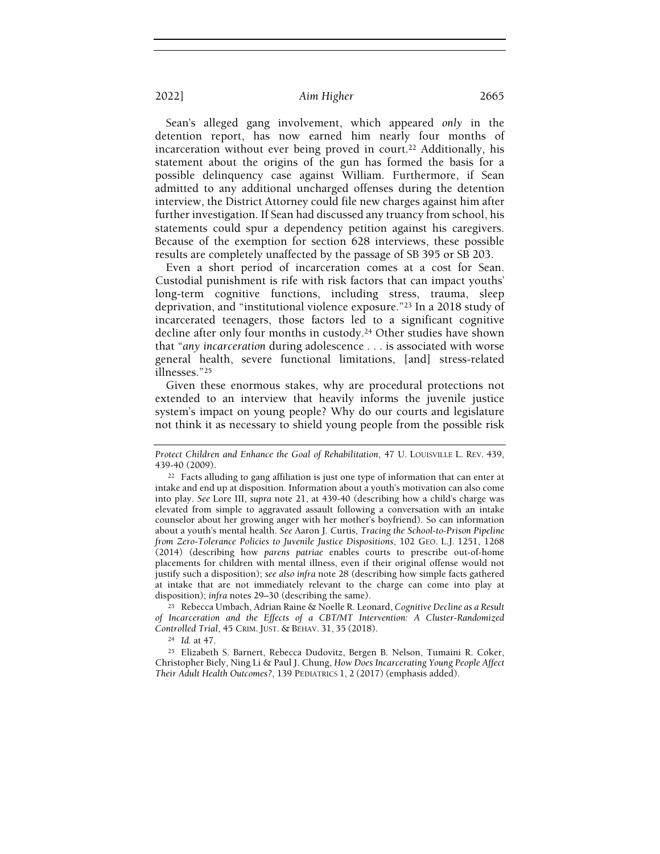Sean's alleged gang involvement, which appeared only in the detention report, has now earned him nearly four months of incarceration without ever being proved in court.22 Additionally, his statement about the origins of the gun has formed the basis for a possible delinquency case against William. Furthermore, if Sean admitted to any additional uncharged offenses during the detention interview, the District Attorney could file new charges against him after further investigation. If Sean had discussed any truancy from school, his statements could spur a dependency petition against his caregivers. Because of the exemption for section 628 interviews, these possible results are completely unaffected by the passage of SB 395 or SB 203.

Even a short period of incarceration comes at a cost for Sean. Custodial punishment is rife with risk factors that can impact youths' long-term cognitive functions, including stress, trauma, sleep deprivation, and "institutional violence exposure."23 In a 2018 study of incarcerated teenagers, those factors led to a significant cognitive decline after only four months in custody.<sup>24</sup> Other studies have shown that "any incarceration during adolescence . . . is associated with worse general health, severe functional limitations, [and] stress-related illnesses."<sup>25</sup>

Given these enormous stakes, why are procedural protections not extended to an interview that heavily informs the juvenile justice system's impact on young people? Why do our courts and legislature not think it as necessary to shield young people from the possible risk

<sup>23</sup> Rebecca Umbach, Adrian Raine & Noelle R. Leonard, Cognitive Decline as a Result of Incarceration and the Effects of a CBT/MT Intervention: A Cluster-Randomized Controlled Trial, 45 CRIM. JUST. & BEHAV. 31, 35 (2018).

<sup>24</sup> Id. at 47.

<sup>25</sup> Elizabeth S. Barnert, Rebecca Dudovitz, Bergen B. Nelson, Tumaini R. Coker, Christopher Biely, Ning Li & Paul J. Chung, How Does Incarcerating Young People Affect Their Adult Health Outcomes?, 139 PEDIATRICS 1, 2 (2017) (emphasis added).

Protect Children and Enhance the Goal of Rehabilitation, 47 U. LOUISVILLE L. REV. 439, 439-40 (2009).

<sup>&</sup>lt;sup>22</sup> Facts alluding to gang affiliation is just one type of information that can enter at intake and end up at disposition. Information about a youth's motivation can also come into play. See Lore III, supra note 21, at 439-40 (describing how a child's charge was elevated from simple to aggravated assault following a conversation with an intake counselor about her growing anger with her mother's boyfriend). So can information about a youth's mental health. See Aaron J. Curtis, Tracing the School-to-Prison Pipeline from Zero-Tolerance Policies to Juvenile Justice Dispositions, 102 GEO. L.J. 1251, 1268 (2014) (describing how parens patriae enables courts to prescribe out-of-home placements for children with mental illness, even if their original offense would not justify such a disposition); see also infra note 28 (describing how simple facts gathered at intake that are not immediately relevant to the charge can come into play at disposition); infra notes 29–30 (describing the same).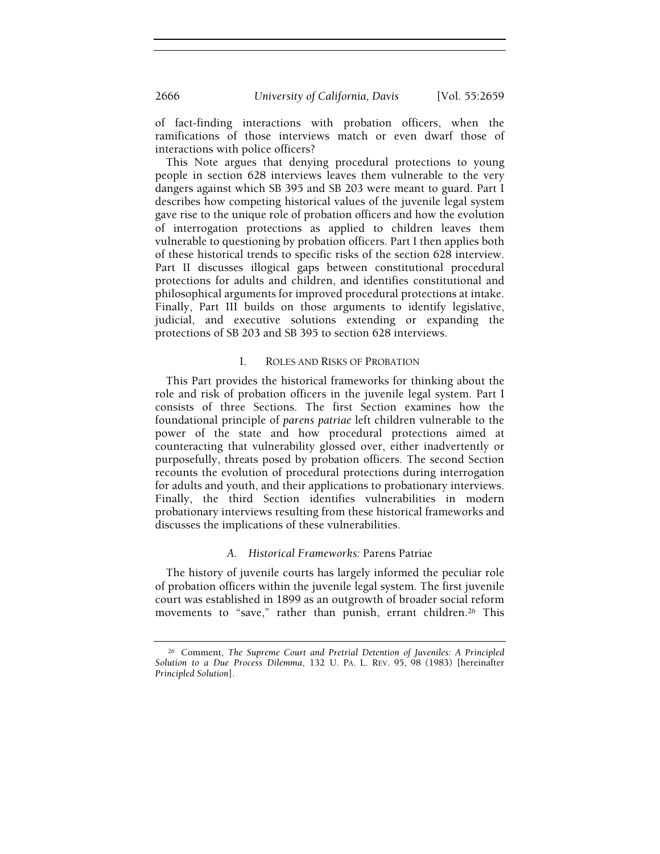of fact-finding interactions with probation officers, when the ramifications of those interviews match or even dwarf those of interactions with police officers?

This Note argues that denying procedural protections to young people in section 628 interviews leaves them vulnerable to the very dangers against which SB 395 and SB 203 were meant to guard. Part I describes how competing historical values of the juvenile legal system gave rise to the unique role of probation officers and how the evolution of interrogation protections as applied to children leaves them vulnerable to questioning by probation officers. Part I then applies both of these historical trends to specific risks of the section 628 interview. Part II discusses illogical gaps between constitutional procedural protections for adults and children, and identifies constitutional and philosophical arguments for improved procedural protections at intake. Finally, Part III builds on those arguments to identify legislative, judicial, and executive solutions extending or expanding the protections of SB 203 and SB 395 to section 628 interviews.

## I. ROLES AND RISKS OF PROBATION

This Part provides the historical frameworks for thinking about the role and risk of probation officers in the juvenile legal system. Part I consists of three Sections. The first Section examines how the foundational principle of parens patriae left children vulnerable to the power of the state and how procedural protections aimed at counteracting that vulnerability glossed over, either inadvertently or purposefully, threats posed by probation officers. The second Section recounts the evolution of procedural protections during interrogation for adults and youth, and their applications to probationary interviews. Finally, the third Section identifies vulnerabilities in modern probationary interviews resulting from these historical frameworks and discusses the implications of these vulnerabilities.

## A. Historical Frameworks: Parens Patriae

The history of juvenile courts has largely informed the peculiar role of probation officers within the juvenile legal system. The first juvenile court was established in 1899 as an outgrowth of broader social reform movements to "save," rather than punish, errant children.<sup>26</sup> This

<sup>26</sup> Comment, The Supreme Court and Pretrial Detention of Juveniles: A Principled Solution to a Due Process Dilemma, 132 U. PA. L. REV. 95, 98 (1983) [hereinafter Principled Solution].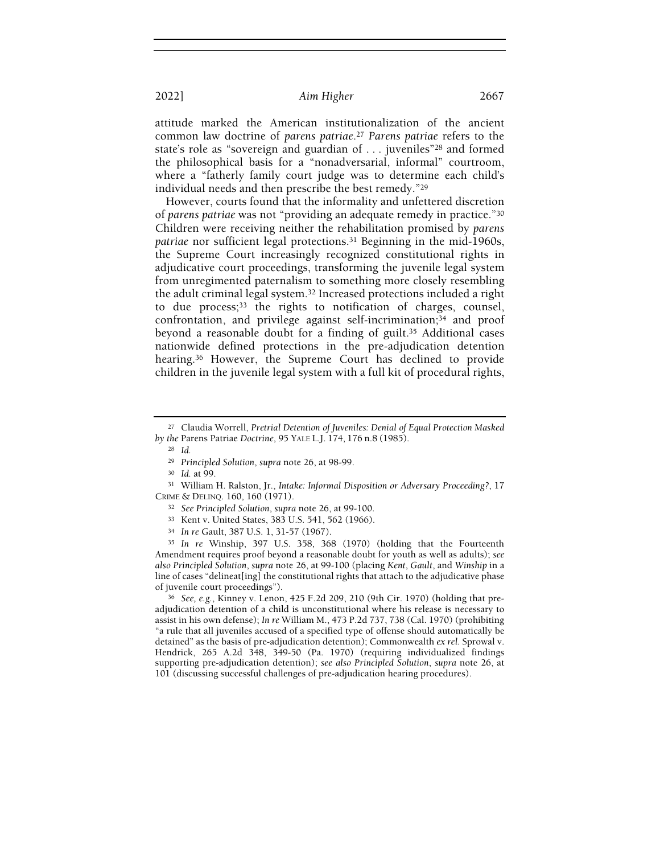attitude marked the American institutionalization of the ancient common law doctrine of parens patriae.<sup>27</sup> Parens patriae refers to the state's role as "sovereign and guardian of . . . juveniles"28 and formed the philosophical basis for a "nonadversarial, informal" courtroom, where a "fatherly family court judge was to determine each child's individual needs and then prescribe the best remedy."<sup>29</sup>

However, courts found that the informality and unfettered discretion of parens patriae was not "providing an adequate remedy in practice."<sup>30</sup> Children were receiving neither the rehabilitation promised by parens patriae nor sufficient legal protections.31 Beginning in the mid-1960s, the Supreme Court increasingly recognized constitutional rights in adjudicative court proceedings, transforming the juvenile legal system from unregimented paternalism to something more closely resembling the adult criminal legal system.32 Increased protections included a right to due process;33 the rights to notification of charges, counsel, confrontation, and privilege against self-incrimination;34 and proof beyond a reasonable doubt for a finding of guilt.<sup>35</sup> Additional cases nationwide defined protections in the pre-adjudication detention hearing.<sup>36</sup> However, the Supreme Court has declined to provide children in the juvenile legal system with a full kit of procedural rights,

<sup>28</sup> Id.

<sup>29</sup> Principled Solution, supra note 26, at 98-99.

<sup>30</sup> Id. at 99.

<sup>31</sup> William H. Ralston, Jr., Intake: Informal Disposition or Adversary Proceeding?, 17 CRIME & DELINQ. 160, 160 (1971).

<sup>35</sup> In re Winship, 397 U.S. 358, 368 (1970) (holding that the Fourteenth Amendment requires proof beyond a reasonable doubt for youth as well as adults); see also Principled Solution, supra note 26, at 99-100 (placing Kent, Gault, and Winship in a line of cases "delineat[ing] the constitutional rights that attach to the adjudicative phase of juvenile court proceedings").

<sup>36</sup> See, e.g., Kinney v. Lenon, 425 F.2d 209, 210 (9th Cir. 1970) (holding that preadjudication detention of a child is unconstitutional where his release is necessary to assist in his own defense); In re William M., 473 P.2d 737, 738 (Cal. 1970) (prohibiting "a rule that all juveniles accused of a specified type of offense should automatically be detained" as the basis of pre-adjudication detention); Commonwealth ex rel. Sprowal v. Hendrick, 265 A.2d 348, 349-50 (Pa. 1970) (requiring individualized findings supporting pre-adjudication detention); see also Principled Solution, supra note 26, at 101 (discussing successful challenges of pre-adjudication hearing procedures).

<sup>&</sup>lt;sup>27</sup> Claudia Worrell, Pretrial Detention of Juveniles: Denial of Equal Protection Masked by the Parens Patriae Doctrine, 95 YALE L.J. 174, 176 n.8 (1985).

<sup>32</sup> See Principled Solution, supra note 26, at 99-100.

<sup>33</sup> Kent v. United States, 383 U.S. 541, 562 (1966).

<sup>34</sup> In re Gault, 387 U.S. 1, 31-57 (1967).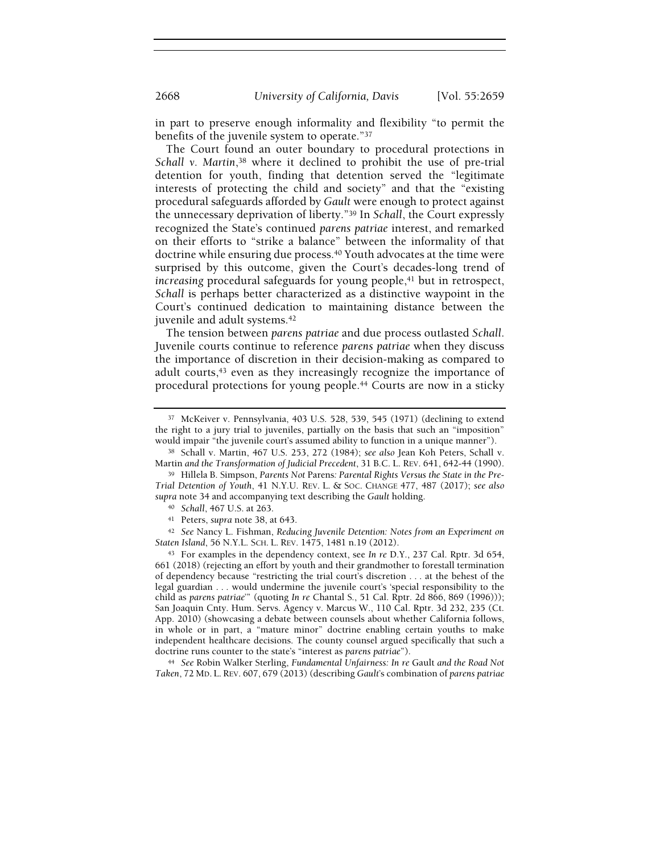in part to preserve enough informality and flexibility "to permit the benefits of the juvenile system to operate."<sup>37</sup>

The Court found an outer boundary to procedural protections in Schall v. Martin,<sup>38</sup> where it declined to prohibit the use of pre-trial detention for youth, finding that detention served the "legitimate interests of protecting the child and society" and that the "existing procedural safeguards afforded by Gault were enough to protect against the unnecessary deprivation of liberty."39 In Schall, the Court expressly recognized the State's continued parens patriae interest, and remarked on their efforts to "strike a balance" between the informality of that doctrine while ensuring due process.40 Youth advocates at the time were surprised by this outcome, given the Court's decades-long trend of increasing procedural safeguards for young people, $41$  but in retrospect, Schall is perhaps better characterized as a distinctive waypoint in the Court's continued dedication to maintaining distance between the juvenile and adult systems.<sup>42</sup>

The tension between parens patriae and due process outlasted Schall. Juvenile courts continue to reference parens patriae when they discuss the importance of discretion in their decision-making as compared to adult courts,<sup>43</sup> even as they increasingly recognize the importance of procedural protections for young people.44 Courts are now in a sticky

<sup>42</sup> See Nancy L. Fishman, Reducing Juvenile Detention: Notes from an Experiment on Staten Island, 56 N.Y.L. SCH. L. REV. 1475, 1481 n.19 (2012).

<sup>43</sup> For examples in the dependency context, see In re D.Y., 237 Cal. Rptr. 3d 654, 661 (2018) (rejecting an effort by youth and their grandmother to forestall termination of dependency because "restricting the trial court's discretion . . . at the behest of the legal guardian . . . would undermine the juvenile court's 'special responsibility to the child as parens patriae'" (quoting In re Chantal S., 51 Cal. Rptr. 2d 866, 869 (1996))); San Joaquin Cnty. Hum. Servs. Agency v. Marcus W., 110 Cal. Rptr. 3d 232, 235 (Ct. App. 2010) (showcasing a debate between counsels about whether California follows, in whole or in part, a "mature minor" doctrine enabling certain youths to make independent healthcare decisions. The county counsel argued specifically that such a doctrine runs counter to the state's "interest as parens patriae").

<sup>44</sup> See Robin Walker Sterling, Fundamental Unfairness: In re Gault and the Road Not Taken, 72 MD. L. REV. 607, 679 (2013) (describing Gault's combination of parens patriae

<sup>37</sup> McKeiver v. Pennsylvania, 403 U.S. 528, 539, 545 (1971) (declining to extend the right to a jury trial to juveniles, partially on the basis that such an "imposition" would impair "the juvenile court's assumed ability to function in a unique manner").

<sup>38</sup> Schall v. Martin, 467 U.S. 253, 272 (1984); see also Jean Koh Peters, Schall v. Martin and the Transformation of Judicial Precedent, 31 B.C. L. REV. 641, 642-44 (1990).

<sup>&</sup>lt;sup>39</sup> Hillela B. Simpson, Parents Not Parens: Parental Rights Versus the State in the Pre-Trial Detention of Youth, 41 N.Y.U. REV. L. & SOC. CHANGE 477, 487 (2017); see also supra note 34 and accompanying text describing the Gault holding.

<sup>40</sup> Schall, 467 U.S. at 263.

<sup>41</sup> Peters, supra note 38, at 643.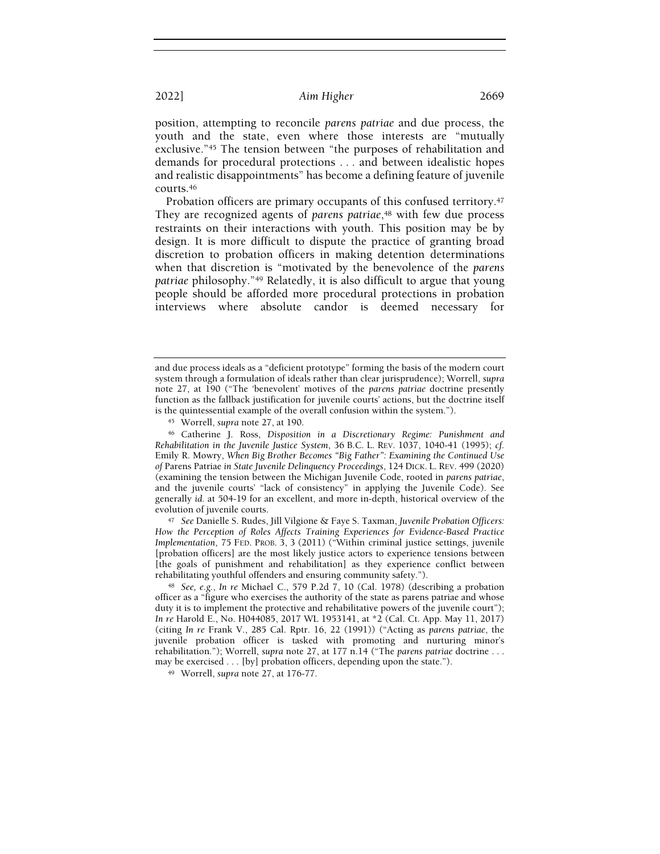position, attempting to reconcile parens patriae and due process, the youth and the state, even where those interests are "mutually exclusive."45 The tension between "the purposes of rehabilitation and demands for procedural protections . . . and between idealistic hopes and realistic disappointments" has become a defining feature of juvenile courts.<sup>46</sup>

Probation officers are primary occupants of this confused territory.<sup>47</sup> They are recognized agents of parens patriae,<sup>48</sup> with few due process restraints on their interactions with youth. This position may be by design. It is more difficult to dispute the practice of granting broad discretion to probation officers in making detention determinations when that discretion is "motivated by the benevolence of the *parens* patriae philosophy."49 Relatedly, it is also difficult to argue that young people should be afforded more procedural protections in probation interviews where absolute candor is deemed necessary for

<sup>47</sup> See Danielle S. Rudes, Jill Vilgione & Faye S. Taxman, Juvenile Probation Officers: How the Perception of Roles Affects Training Experiences for Evidence-Based Practice Implementation, 75 FED. PROB. 3, 3 (2011) ("Within criminal justice settings, juvenile [probation officers] are the most likely justice actors to experience tensions between [the goals of punishment and rehabilitation] as they experience conflict between rehabilitating youthful offenders and ensuring community safety.").

and due process ideals as a "deficient prototype" forming the basis of the modern court system through a formulation of ideals rather than clear jurisprudence); Worrell, supra note 27, at 190 ("The 'benevolent' motives of the parens patriae doctrine presently function as the fallback justification for juvenile courts' actions, but the doctrine itself is the quintessential example of the overall confusion within the system.").

<sup>45</sup> Worrell, supra note 27, at 190.

<sup>46</sup> Catherine J. Ross, Disposition in a Discretionary Regime: Punishment and Rehabilitation in the Juvenile Justice System, 36 B.C. L. REV. 1037, 1040-41 (1995); cf. Emily R. Mowry, When Big Brother Becomes "Big Father": Examining the Continued Use of Parens Patriae in State Juvenile Delinquency Proceedings, 124 DICK. L. REV. 499 (2020) (examining the tension between the Michigan Juvenile Code, rooted in parens patriae, and the juvenile courts' "lack of consistency" in applying the Juvenile Code). See generally id. at 504-19 for an excellent, and more in-depth, historical overview of the evolution of juvenile courts.

<sup>48</sup> See, e.g., In re Michael C., 579 P.2d 7, 10 (Cal. 1978) (describing a probation officer as a "figure who exercises the authority of the state as parens patriae and whose duty it is to implement the protective and rehabilitative powers of the juvenile court"); In re Harold E., No. H044085, 2017 WL 1953141, at \*2 (Cal. Ct. App. May 11, 2017) (citing In re Frank V., 285 Cal. Rptr. 16, 22 (1991)) ("Acting as parens patriae, the juvenile probation officer is tasked with promoting and nurturing minor's rehabilitation."); Worrell, supra note 27, at 177 n.14 ("The parens patriae doctrine . . . may be exercised . . . [by] probation officers, depending upon the state.").

<sup>49</sup> Worrell, supra note 27, at 176-77.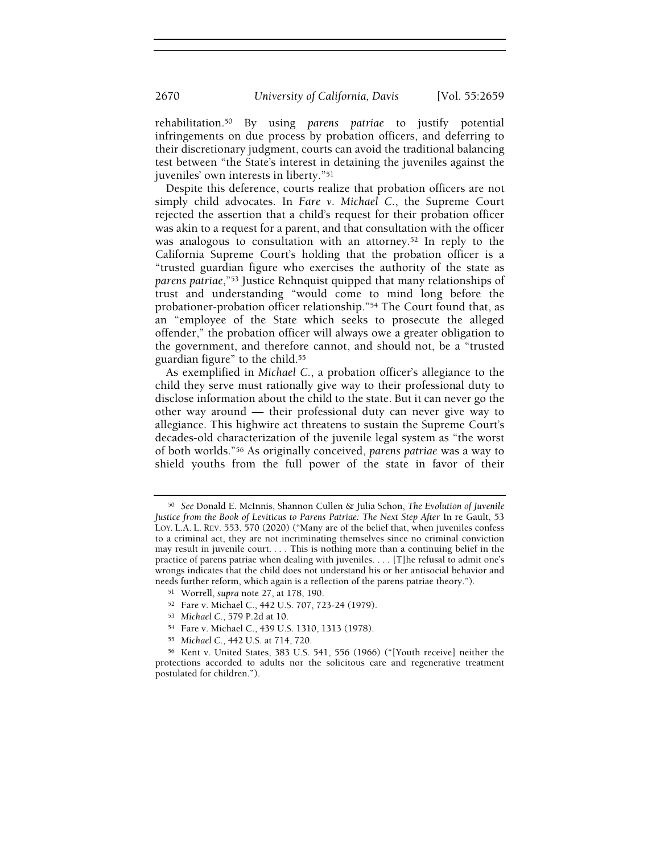rehabilitation.50 By using parens patriae to justify potential infringements on due process by probation officers, and deferring to their discretionary judgment, courts can avoid the traditional balancing test between "the State's interest in detaining the juveniles against the juveniles' own interests in liberty."<sup>51</sup>

Despite this deference, courts realize that probation officers are not simply child advocates. In Fare v. Michael C., the Supreme Court rejected the assertion that a child's request for their probation officer was akin to a request for a parent, and that consultation with the officer was analogous to consultation with an attorney.<sup>52</sup> In reply to the California Supreme Court's holding that the probation officer is a "trusted guardian figure who exercises the authority of the state as parens patriae,"53 Justice Rehnquist quipped that many relationships of trust and understanding "would come to mind long before the probationer-probation officer relationship."54 The Court found that, as an "employee of the State which seeks to prosecute the alleged offender," the probation officer will always owe a greater obligation to the government, and therefore cannot, and should not, be a "trusted guardian figure" to the child.<sup>55</sup>

As exemplified in Michael C., a probation officer's allegiance to the child they serve must rationally give way to their professional duty to disclose information about the child to the state. But it can never go the other way around — their professional duty can never give way to allegiance. This highwire act threatens to sustain the Supreme Court's decades-old characterization of the juvenile legal system as "the worst of both worlds."56 As originally conceived, parens patriae was a way to shield youths from the full power of the state in favor of their

<sup>50</sup> See Donald E. McInnis, Shannon Cullen & Julia Schon, The Evolution of Juvenile Justice from the Book of Leviticus to Parens Patriae: The Next Step After In re Gault, 53 LOY. L.A. L. REV. 553, 570 (2020) ("Many are of the belief that, when juveniles confess to a criminal act, they are not incriminating themselves since no criminal conviction may result in juvenile court. . . . This is nothing more than a continuing belief in the practice of parens patriae when dealing with juveniles. . . . [T]he refusal to admit one's wrongs indicates that the child does not understand his or her antisocial behavior and needs further reform, which again is a reflection of the parens patriae theory.").

<sup>51</sup> Worrell, supra note 27, at 178, 190.

<sup>52</sup> Fare v. Michael C., 442 U.S. 707, 723-24 (1979).

<sup>53</sup> Michael C., 579 P.2d at 10.

<sup>54</sup> Fare v. Michael C., 439 U.S. 1310, 1313 (1978).

<sup>55</sup> Michael C., 442 U.S. at 714, 720.

<sup>56</sup> Kent v. United States, 383 U.S. 541, 556 (1966) ("[Youth receive] neither the protections accorded to adults nor the solicitous care and regenerative treatment postulated for children.").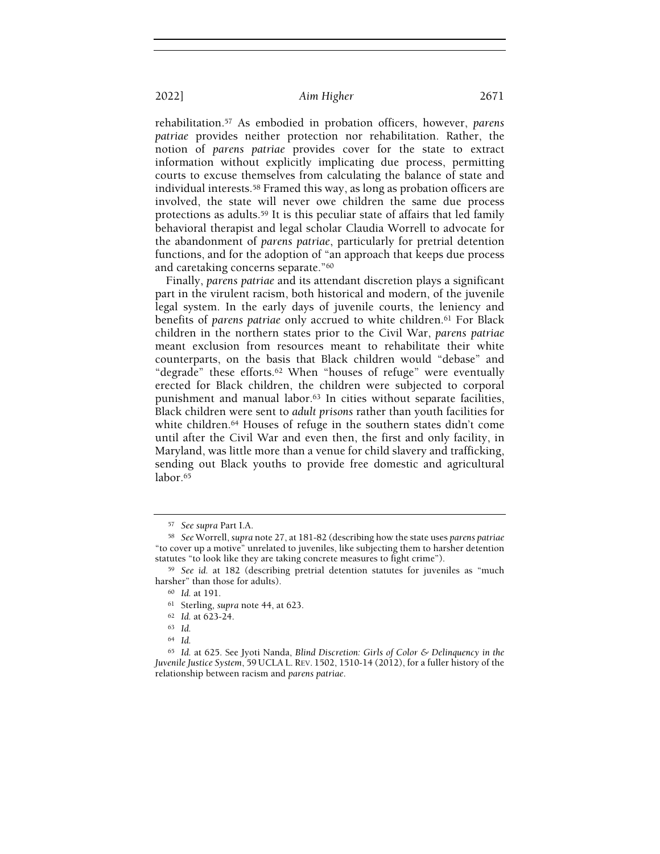rehabilitation.57 As embodied in probation officers, however, parens patriae provides neither protection nor rehabilitation. Rather, the notion of parens patriae provides cover for the state to extract information without explicitly implicating due process, permitting courts to excuse themselves from calculating the balance of state and individual interests.58 Framed this way, as long as probation officers are involved, the state will never owe children the same due process protections as adults.<sup>59</sup> It is this peculiar state of affairs that led family behavioral therapist and legal scholar Claudia Worrell to advocate for the abandonment of parens patriae, particularly for pretrial detention functions, and for the adoption of "an approach that keeps due process and caretaking concerns separate."<sup>60</sup>

Finally, parens patriae and its attendant discretion plays a significant part in the virulent racism, both historical and modern, of the juvenile legal system. In the early days of juvenile courts, the leniency and benefits of parens patriae only accrued to white children.<sup>61</sup> For Black children in the northern states prior to the Civil War, parens patriae meant exclusion from resources meant to rehabilitate their white counterparts, on the basis that Black children would "debase" and "degrade" these efforts.62 When "houses of refuge" were eventually erected for Black children, the children were subjected to corporal punishment and manual labor.<sup>63</sup> In cities without separate facilities, Black children were sent to adult prisons rather than youth facilities for white children.<sup>64</sup> Houses of refuge in the southern states didn't come until after the Civil War and even then, the first and only facility, in Maryland, was little more than a venue for child slavery and trafficking, sending out Black youths to provide free domestic and agricultural labor.<sup>65</sup>

<sup>57</sup> See supra Part I.A.

<sup>&</sup>lt;sup>58</sup> See Worrell, supra note 27, at 181-82 (describing how the state uses parens patriae "to cover up a motive" unrelated to juveniles, like subjecting them to harsher detention statutes "to look like they are taking concrete measures to fight crime").

<sup>59</sup> See id. at 182 (describing pretrial detention statutes for juveniles as "much harsher" than those for adults).

<sup>60</sup> Id. at 191.

<sup>61</sup> Sterling, supra note 44, at 623.

<sup>62</sup> Id. at 623-24.

<sup>63</sup> Id.

<sup>64</sup> Id.

 $65$  Id. at 625. See Jyoti Nanda, Blind Discretion: Girls of Color & Delinquency in the Juvenile Justice System, 59 UCLA L. REV. 1502, 1510-14 (2012), for a fuller history of the relationship between racism and parens patriae.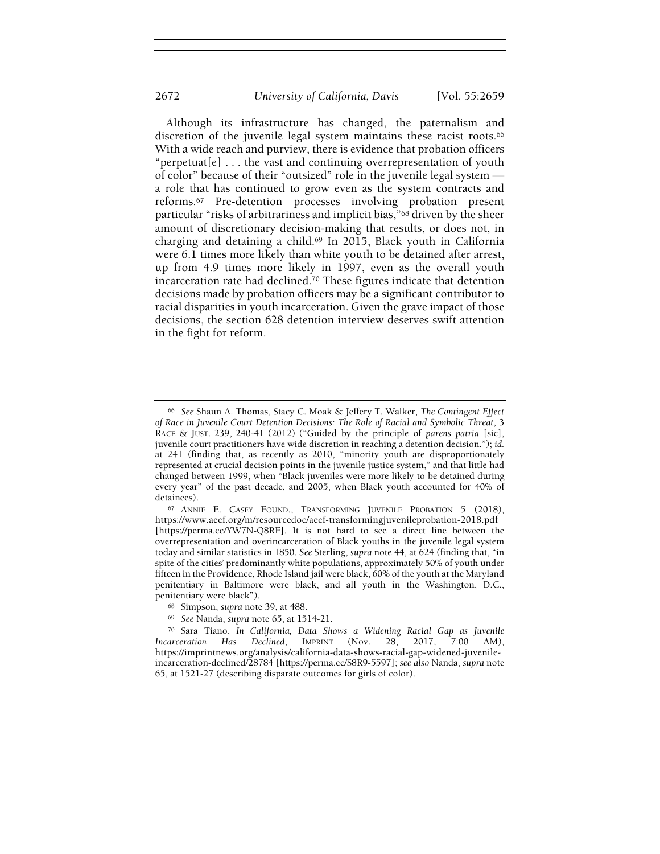Although its infrastructure has changed, the paternalism and discretion of the juvenile legal system maintains these racist roots.<sup>66</sup> With a wide reach and purview, there is evidence that probation officers "perpetuat $[e]$ ... the vast and continuing overrepresentation of youth of color" because of their "outsized" role in the juvenile legal system a role that has continued to grow even as the system contracts and reforms.67 Pre-detention processes involving probation present particular "risks of arbitrariness and implicit bias,"68 driven by the sheer amount of discretionary decision-making that results, or does not, in charging and detaining a child.69 In 2015, Black youth in California were 6.1 times more likely than white youth to be detained after arrest, up from 4.9 times more likely in 1997, even as the overall youth incarceration rate had declined.70 These figures indicate that detention decisions made by probation officers may be a significant contributor to racial disparities in youth incarceration. Given the grave impact of those decisions, the section 628 detention interview deserves swift attention in the fight for reform.

<sup>&</sup>lt;sup>66</sup> See Shaun A. Thomas, Stacy C. Moak  $\&$  Jeffery T. Walker, The Contingent Effect of Race in Juvenile Court Detention Decisions: The Role of Racial and Symbolic Threat, 3 RACE & JUST. 239, 240-41 (2012) ("Guided by the principle of parens patria [sic], juvenile court practitioners have wide discretion in reaching a detention decision."); id. at 241 (finding that, as recently as 2010, "minority youth are disproportionately represented at crucial decision points in the juvenile justice system," and that little had changed between 1999, when "Black juveniles were more likely to be detained during every year" of the past decade, and 2005, when Black youth accounted for 40% of detainees).

<sup>67</sup> ANNIE E. CASEY FOUND., TRANSFORMING JUVENILE PROBATION 5 (2018), https://www.aecf.org/m/resourcedoc/aecf-transformingjuvenileprobation-2018.pdf [https://perma.cc/YW7N-Q8RF]. It is not hard to see a direct line between the overrepresentation and overincarceration of Black youths in the juvenile legal system today and similar statistics in 1850. See Sterling, supra note 44, at 624 (finding that, "in spite of the cities' predominantly white populations, approximately 50% of youth under fifteen in the Providence, Rhode Island jail were black, 60% of the youth at the Maryland penitentiary in Baltimore were black, and all youth in the Washington, D.C., penitentiary were black").

<sup>68</sup> Simpson, supra note 39, at 488.

<sup>69</sup> See Nanda, supra note 65, at 1514-21.

<sup>70</sup> Sara Tiano, In California, Data Shows a Widening Racial Gap as Juvenile Incarceration Has Declined, IMPRINT (Nov. 28, 2017, 7:00 AM), https://imprintnews.org/analysis/california-data-shows-racial-gap-widened-juvenileincarceration-declined/28784 [https://perma.cc/S8R9-5597]; see also Nanda, supra note 65, at 1521-27 (describing disparate outcomes for girls of color).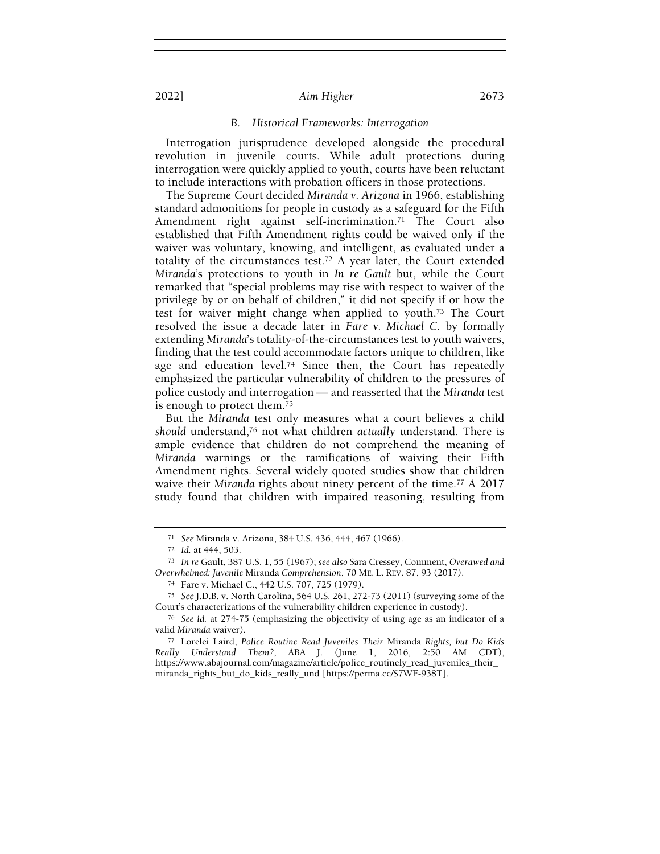#### B. Historical Frameworks: Interrogation

Interrogation jurisprudence developed alongside the procedural revolution in juvenile courts. While adult protections during interrogation were quickly applied to youth, courts have been reluctant to include interactions with probation officers in those protections.

The Supreme Court decided Miranda v. Arizona in 1966, establishing standard admonitions for people in custody as a safeguard for the Fifth Amendment right against self-incrimination.<sup>71</sup> The Court also established that Fifth Amendment rights could be waived only if the waiver was voluntary, knowing, and intelligent, as evaluated under a totality of the circumstances test.72 A year later, the Court extended Miranda's protections to youth in In re Gault but, while the Court remarked that "special problems may rise with respect to waiver of the privilege by or on behalf of children," it did not specify if or how the test for waiver might change when applied to youth.73 The Court resolved the issue a decade later in Fare v. Michael C. by formally extending Miranda's totality-of-the-circumstances test to youth waivers, finding that the test could accommodate factors unique to children, like age and education level.<sup>74</sup> Since then, the Court has repeatedly emphasized the particular vulnerability of children to the pressures of police custody and interrogation — and reasserted that the Miranda test is enough to protect them.<sup>75</sup>

But the Miranda test only measures what a court believes a child should understand,<sup>76</sup> not what children actually understand. There is ample evidence that children do not comprehend the meaning of Miranda warnings or the ramifications of waiving their Fifth Amendment rights. Several widely quoted studies show that children waive their Miranda rights about ninety percent of the time.<sup>77</sup> A 2017 study found that children with impaired reasoning, resulting from

<sup>71</sup> See Miranda v. Arizona, 384 U.S. 436, 444, 467 (1966).

<sup>72</sup> Id. at 444, 503.

<sup>73</sup> In re Gault, 387 U.S. 1, 55 (1967); see also Sara Cressey, Comment, Overawed and Overwhelmed: Juvenile Miranda Comprehension, 70 ME. L. REV. 87, 93 (2017).

<sup>74</sup> Fare v. Michael C., 442 U.S. 707, 725 (1979).

<sup>75</sup> See J.D.B. v. North Carolina, 564 U.S. 261, 272-73 (2011) (surveying some of the Court's characterizations of the vulnerability children experience in custody).

<sup>76</sup> See id. at 274-75 (emphasizing the objectivity of using age as an indicator of a valid Miranda waiver).

<sup>77</sup> Lorelei Laird, Police Routine Read Juveniles Their Miranda Rights, but Do Kids Really Understand Them?, ABA J. (June 1, 2016, 2:50 AM CDT), https://www.abajournal.com/magazine/article/police\_routinely\_read\_juveniles\_their\_ miranda\_rights\_but\_do\_kids\_really\_und [https://perma.cc/S7WF-938T].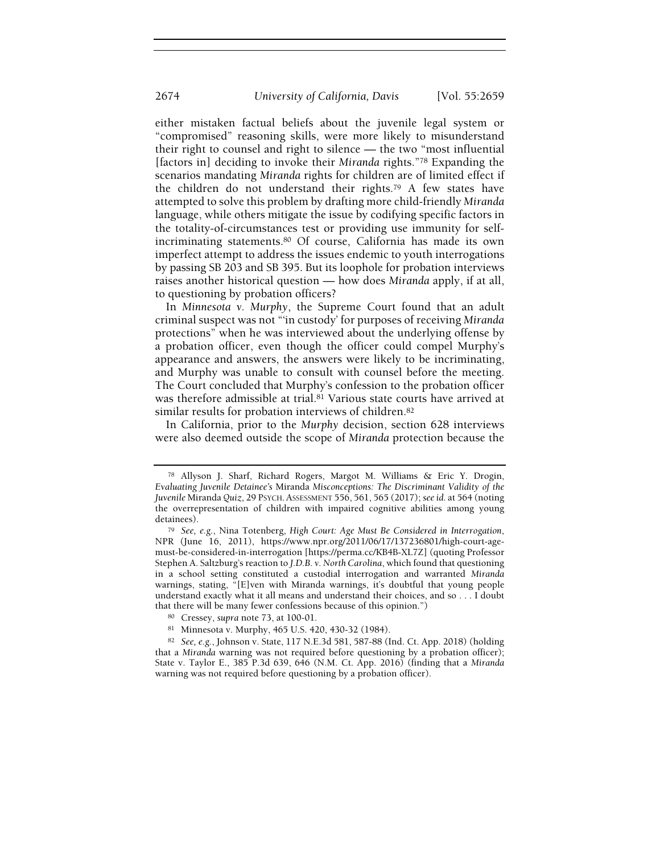either mistaken factual beliefs about the juvenile legal system or "compromised" reasoning skills, were more likely to misunderstand their right to counsel and right to silence — the two "most influential [factors in] deciding to invoke their Miranda rights."<sup>78</sup> Expanding the scenarios mandating Miranda rights for children are of limited effect if the children do not understand their rights.79 A few states have attempted to solve this problem by drafting more child-friendly Miranda language, while others mitigate the issue by codifying specific factors in the totality-of-circumstances test or providing use immunity for selfincriminating statements.80 Of course, California has made its own imperfect attempt to address the issues endemic to youth interrogations by passing SB 203 and SB 395. But its loophole for probation interviews raises another historical question — how does Miranda apply, if at all, to questioning by probation officers?

In Minnesota v. Murphy, the Supreme Court found that an adult criminal suspect was not "'in custody' for purposes of receiving Miranda protections" when he was interviewed about the underlying offense by a probation officer, even though the officer could compel Murphy's appearance and answers, the answers were likely to be incriminating, and Murphy was unable to consult with counsel before the meeting. The Court concluded that Murphy's confession to the probation officer was therefore admissible at trial.<sup>81</sup> Various state courts have arrived at similar results for probation interviews of children.<sup>82</sup>

In California, prior to the Murphy decision, section 628 interviews were also deemed outside the scope of Miranda protection because the

<sup>78</sup> Allyson J. Sharf, Richard Rogers, Margot M. Williams & Eric Y. Drogin, Evaluating Juvenile Detainee's Miranda Misconceptions: The Discriminant Validity of the Juvenile Miranda Quiz, 29 PSYCH. ASSESSMENT 556, 561, 565 (2017); see id. at 564 (noting the overrepresentation of children with impaired cognitive abilities among young detainees).

<sup>79</sup> See, e.g., Nina Totenberg, High Court: Age Must Be Considered in Interrogation, NPR (June 16, 2011), https://www.npr.org/2011/06/17/137236801/high-court-agemust-be-considered-in-interrogation [https://perma.cc/KB4B-XL7Z] (quoting Professor Stephen A. Saltzburg's reaction to J.D.B. v. North Carolina, which found that questioning in a school setting constituted a custodial interrogation and warranted Miranda warnings, stating, "[E]ven with Miranda warnings, it's doubtful that young people understand exactly what it all means and understand their choices, and so . . . I doubt that there will be many fewer confessions because of this opinion.")

<sup>80</sup> Cressey, supra note 73, at 100-01.

<sup>81</sup> Minnesota v. Murphy, 465 U.S. 420, 430-32 (1984).

<sup>82</sup> See, e.g., Johnson v. State, 117 N.E.3d 581, 587-88 (Ind. Ct. App. 2018) (holding that a Miranda warning was not required before questioning by a probation officer); State v. Taylor E., 385 P.3d 639, 646 (N.M. Ct. App. 2016) (finding that a Miranda warning was not required before questioning by a probation officer).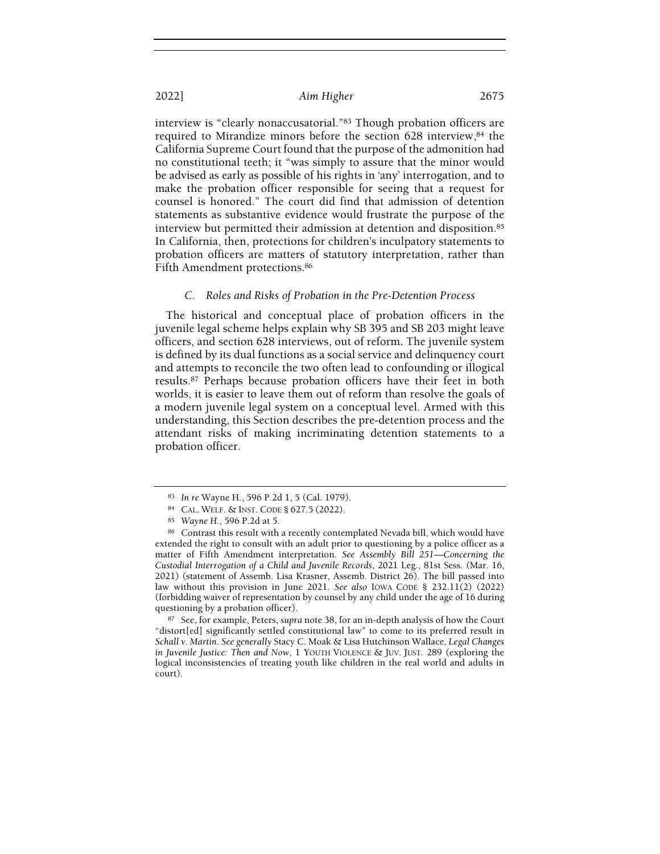interview is "clearly nonaccusatorial."83 Though probation officers are required to Mirandize minors before the section 628 interview,84 the California Supreme Court found that the purpose of the admonition had no constitutional teeth; it "was simply to assure that the minor would be advised as early as possible of his rights in 'any' interrogation, and to make the probation officer responsible for seeing that a request for counsel is honored." The court did find that admission of detention statements as substantive evidence would frustrate the purpose of the interview but permitted their admission at detention and disposition.<sup>85</sup> In California, then, protections for children's inculpatory statements to probation officers are matters of statutory interpretation, rather than Fifth Amendment protections.<sup>86</sup>

#### C. Roles and Risks of Probation in the Pre-Detention Process

The historical and conceptual place of probation officers in the juvenile legal scheme helps explain why SB 395 and SB 203 might leave officers, and section 628 interviews, out of reform. The juvenile system is defined by its dual functions as a social service and delinquency court and attempts to reconcile the two often lead to confounding or illogical results.87 Perhaps because probation officers have their feet in both worlds, it is easier to leave them out of reform than resolve the goals of a modern juvenile legal system on a conceptual level. Armed with this understanding, this Section describes the pre-detention process and the attendant risks of making incriminating detention statements to a probation officer.

<sup>87</sup> See, for example, Peters, supra note 38, for an in-depth analysis of how the Court "distort[ed] significantly settled constitutional law" to come to its preferred result in Schall v. Martin. See generally Stacy C. Moak & Lisa Hutchinson Wallace, Legal Changes in Juvenile Justice: Then and Now, 1 YOUTH VIOLENCE & JUV. JUST. 289 (exploring the logical inconsistencies of treating youth like children in the real world and adults in court).

<sup>83</sup> In re Wayne H., 596 P.2d 1, 5 (Cal. 1979).

<sup>84</sup> CAL. WELF. & INST. CODE § 627.5 (2022).

<sup>85</sup> Wayne H., 596 P.2d at 5.

<sup>86</sup> Contrast this result with a recently contemplated Nevada bill, which would have extended the right to consult with an adult prior to questioning by a police officer as a matter of Fifth Amendment interpretation. See Assembly Bill 251—Concerning the Custodial Interrogation of a Child and Juvenile Records, 2021 Leg., 81st Sess. (Mar. 16, 2021) (statement of Assemb. Lisa Krasner, Assemb. District 26). The bill passed into law without this provision in June 2021. See also IOWA CODE § 232.11(2) (2022) (forbidding waiver of representation by counsel by any child under the age of 16 during questioning by a probation officer).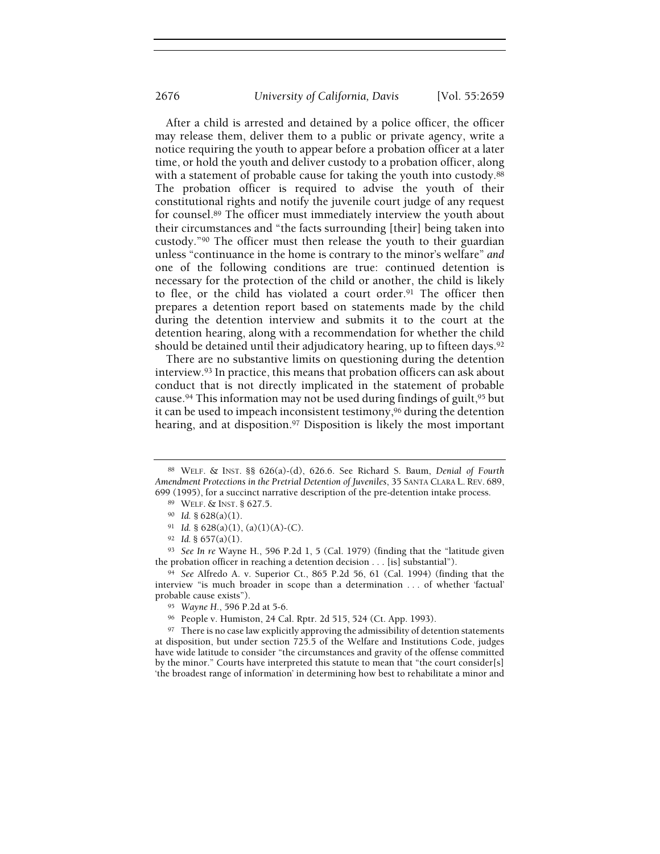After a child is arrested and detained by a police officer, the officer may release them, deliver them to a public or private agency, write a notice requiring the youth to appear before a probation officer at a later time, or hold the youth and deliver custody to a probation officer, along with a statement of probable cause for taking the youth into custody.<sup>88</sup> The probation officer is required to advise the youth of their constitutional rights and notify the juvenile court judge of any request for counsel.89 The officer must immediately interview the youth about their circumstances and "the facts surrounding [their] being taken into custody."90 The officer must then release the youth to their guardian unless "continuance in the home is contrary to the minor's welfare" and one of the following conditions are true: continued detention is necessary for the protection of the child or another, the child is likely to flee, or the child has violated a court order.91 The officer then prepares a detention report based on statements made by the child during the detention interview and submits it to the court at the detention hearing, along with a recommendation for whether the child should be detained until their adjudicatory hearing, up to fifteen days.<sup>92</sup>

There are no substantive limits on questioning during the detention interview.93 In practice, this means that probation officers can ask about conduct that is not directly implicated in the statement of probable cause.<sup>94</sup> This information may not be used during findings of guilt,<sup>95</sup> but it can be used to impeach inconsistent testimony,96 during the detention hearing, and at disposition.97 Disposition is likely the most important

<sup>88</sup> WELF. & INST. §§ 626(a)-(d), 626.6. See Richard S. Baum, Denial of Fourth Amendment Protections in the Pretrial Detention of Juveniles, 35 SANTA CLARA L. REV. 689, 699 (1995), for a succinct narrative description of the pre-detention intake process.

<sup>89</sup> WELF. & INST. § 627.5.

<sup>90</sup> Id. § 628(a)(1).

<sup>91</sup> Id. §  $628(a)(1)$ ,  $(a)(1)(A)-(C)$ .

<sup>92</sup> Id. § 657(a)(1).

<sup>93</sup> See In re Wayne H., 596 P.2d 1, 5 (Cal. 1979) (finding that the "latitude given the probation officer in reaching a detention decision . . . [is] substantial").

<sup>94</sup> See Alfredo A. v. Superior Ct., 865 P.2d 56, 61 (Cal. 1994) (finding that the interview "is much broader in scope than a determination . . . of whether 'factual' probable cause exists").

<sup>95</sup> Wayne H., 596 P.2d at 5-6.

<sup>96</sup> People v. Humiston, 24 Cal. Rptr. 2d 515, 524 (Ct. App. 1993).

<sup>&</sup>lt;sup>97</sup> There is no case law explicitly approving the admissibility of detention statements at disposition, but under section 725.5 of the Welfare and Institutions Code, judges have wide latitude to consider "the circumstances and gravity of the offense committed by the minor." Courts have interpreted this statute to mean that "the court consider[s] 'the broadest range of information' in determining how best to rehabilitate a minor and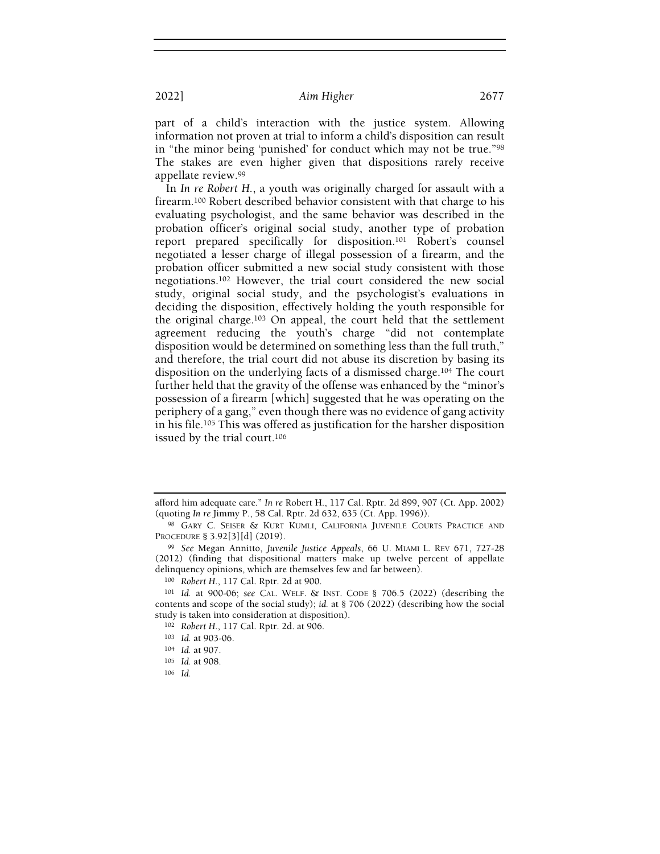part of a child's interaction with the justice system. Allowing information not proven at trial to inform a child's disposition can result in "the minor being 'punished' for conduct which may not be true."<sup>98</sup> The stakes are even higher given that dispositions rarely receive appellate review.<sup>99</sup>

In In re Robert H., a youth was originally charged for assault with a firearm.100 Robert described behavior consistent with that charge to his evaluating psychologist, and the same behavior was described in the probation officer's original social study, another type of probation report prepared specifically for disposition.101 Robert's counsel negotiated a lesser charge of illegal possession of a firearm, and the probation officer submitted a new social study consistent with those negotiations.102 However, the trial court considered the new social study, original social study, and the psychologist's evaluations in deciding the disposition, effectively holding the youth responsible for the original charge.103 On appeal, the court held that the settlement agreement reducing the youth's charge "did not contemplate disposition would be determined on something less than the full truth," and therefore, the trial court did not abuse its discretion by basing its disposition on the underlying facts of a dismissed charge.104 The court further held that the gravity of the offense was enhanced by the "minor's possession of a firearm [which] suggested that he was operating on the periphery of a gang," even though there was no evidence of gang activity in his file.105 This was offered as justification for the harsher disposition issued by the trial court.<sup>106</sup>

afford him adequate care." In re Robert H., 117 Cal. Rptr. 2d 899, 907 (Ct. App. 2002) (quoting In re Jimmy P., 58 Cal. Rptr. 2d 632, 635 (Ct. App. 1996)).

<sup>98</sup> GARY C. SEISER & KURT KUMLI, CALIFORNIA JUVENILE COURTS PRACTICE AND PROCEDURE § 3.92[3][d] (2019).

<sup>99</sup> See Megan Annitto, Juvenile Justice Appeals, 66 U. MIAMI L. REV 671, 727-28 (2012) (finding that dispositional matters make up twelve percent of appellate delinquency opinions, which are themselves few and far between).

<sup>100</sup> Robert H., 117 Cal. Rptr. 2d at 900.

<sup>101</sup> Id. at 900-06; see CAL. WELF. & INST. CODE § 706.5 (2022) (describing the contents and scope of the social study); id. at § 706 (2022) (describing how the social study is taken into consideration at disposition).

<sup>102</sup> Robert H., 117 Cal. Rptr. 2d. at 906.

<sup>103</sup> Id. at 903-06.

<sup>104</sup> Id. at 907.

<sup>105</sup> Id. at 908.

<sup>106</sup> Id.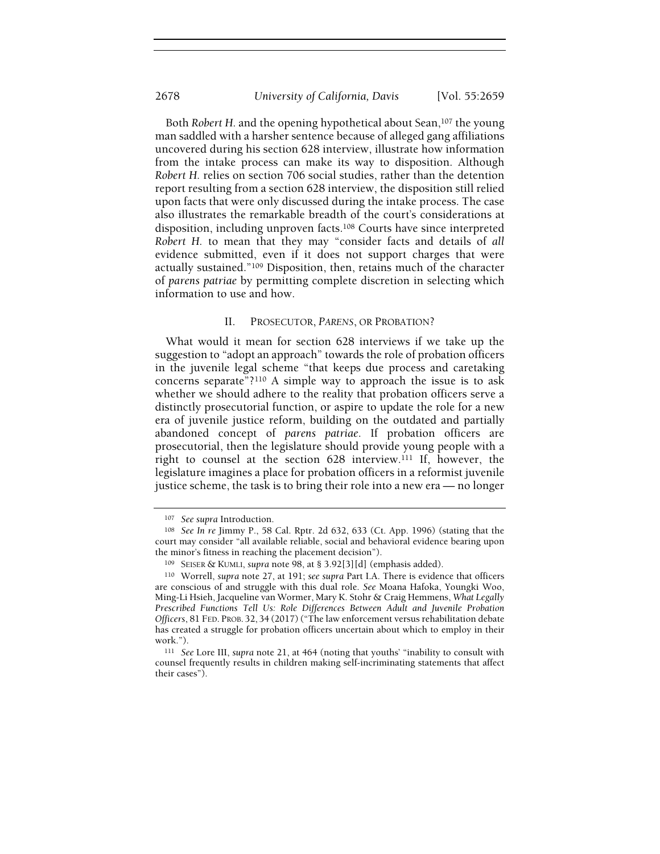Both Robert H. and the opening hypothetical about Sean,<sup>107</sup> the young man saddled with a harsher sentence because of alleged gang affiliations uncovered during his section 628 interview, illustrate how information from the intake process can make its way to disposition. Although Robert H. relies on section 706 social studies, rather than the detention report resulting from a section 628 interview, the disposition still relied upon facts that were only discussed during the intake process. The case also illustrates the remarkable breadth of the court's considerations at disposition, including unproven facts.108 Courts have since interpreted Robert H. to mean that they may "consider facts and details of all evidence submitted, even if it does not support charges that were actually sustained."109 Disposition, then, retains much of the character of parens patriae by permitting complete discretion in selecting which information to use and how.

#### II. PROSECUTOR, PARENS, OR PROBATION?

What would it mean for section 628 interviews if we take up the suggestion to "adopt an approach" towards the role of probation officers in the juvenile legal scheme "that keeps due process and caretaking concerns separate"?110 A simple way to approach the issue is to ask whether we should adhere to the reality that probation officers serve a distinctly prosecutorial function, or aspire to update the role for a new era of juvenile justice reform, building on the outdated and partially abandoned concept of parens patriae. If probation officers are prosecutorial, then the legislature should provide young people with a right to counsel at the section 628 interview.111 If, however, the legislature imagines a place for probation officers in a reformist juvenile justice scheme, the task is to bring their role into a new era — no longer

<sup>107</sup> See supra Introduction.

<sup>108</sup> See In re Jimmy P., 58 Cal. Rptr. 2d 632, 633 (Ct. App. 1996) (stating that the court may consider "all available reliable, social and behavioral evidence bearing upon the minor's fitness in reaching the placement decision").

<sup>109</sup> SEISER & KUMLI, supra note 98, at § 3.92[3][d] (emphasis added).

<sup>110</sup> Worrell, supra note 27, at 191; see supra Part I.A. There is evidence that officers are conscious of and struggle with this dual role. See Moana Hafoka, Youngki Woo, Ming-Li Hsieh, Jacqueline van Wormer, Mary K. Stohr & Craig Hemmens, What Legally Prescribed Functions Tell Us: Role Differences Between Adult and Juvenile Probation Officers, 81 FED. PROB. 32, 34 (2017)("The law enforcement versus rehabilitation debate has created a struggle for probation officers uncertain about which to employ in their work.").

<sup>&</sup>lt;sup>111</sup> See Lore III, supra note 21, at 464 (noting that youths' "inability to consult with counsel frequently results in children making self-incriminating statements that affect their cases").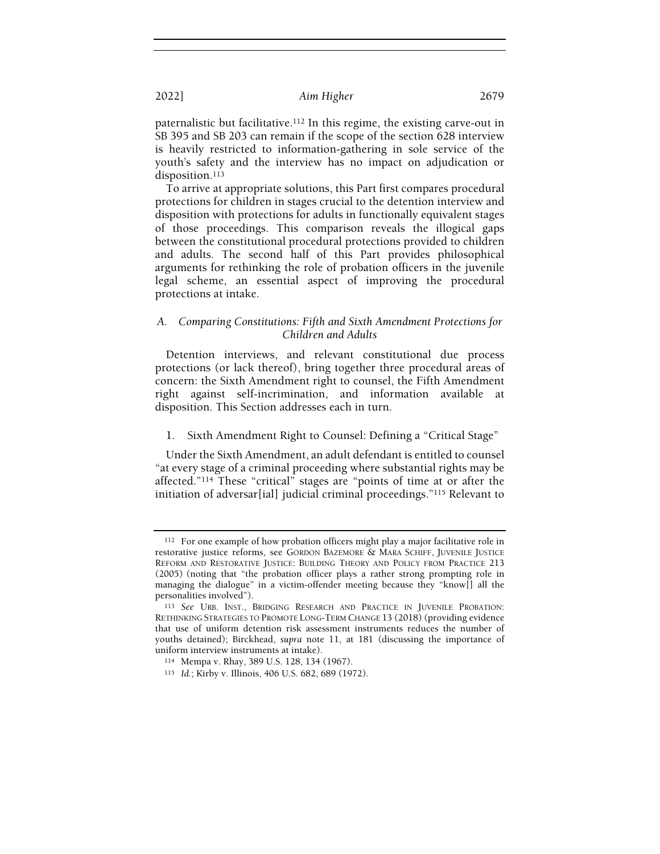paternalistic but facilitative.112 In this regime, the existing carve-out in SB 395 and SB 203 can remain if the scope of the section 628 interview is heavily restricted to information-gathering in sole service of the youth's safety and the interview has no impact on adjudication or disposition.<sup>113</sup>

To arrive at appropriate solutions, this Part first compares procedural protections for children in stages crucial to the detention interview and disposition with protections for adults in functionally equivalent stages of those proceedings. This comparison reveals the illogical gaps between the constitutional procedural protections provided to children and adults. The second half of this Part provides philosophical arguments for rethinking the role of probation officers in the juvenile legal scheme, an essential aspect of improving the procedural protections at intake.

## A. Comparing Constitutions: Fifth and Sixth Amendment Protections for Children and Adults

Detention interviews, and relevant constitutional due process protections (or lack thereof), bring together three procedural areas of concern: the Sixth Amendment right to counsel, the Fifth Amendment right against self-incrimination, and information available at disposition. This Section addresses each in turn.

## 1. Sixth Amendment Right to Counsel: Defining a "Critical Stage"

Under the Sixth Amendment, an adult defendant is entitled to counsel "at every stage of a criminal proceeding where substantial rights may be affected."114 These "critical" stages are "points of time at or after the initiation of adversar[ial] judicial criminal proceedings."115 Relevant to

<sup>&</sup>lt;sup>112</sup> For one example of how probation officers might play a major facilitative role in restorative justice reforms, see GORDON BAZEMORE & MARA SCHIFF, JUVENILE JUSTICE REFORM AND RESTORATIVE JUSTICE: BUILDING THEORY AND POLICY FROM PRACTICE 213 (2005) (noting that "the probation officer plays a rather strong prompting role in managing the dialogue" in a victim-offender meeting because they "know[] all the personalities involved").

<sup>113</sup> See URB. INST., BRIDGING RESEARCH AND PRACTICE IN JUVENILE PROBATION: RETHINKING STRATEGIES TO PROMOTE LONG-TERM CHANGE 13 (2018) (providing evidence that use of uniform detention risk assessment instruments reduces the number of youths detained); Birckhead, supra note 11, at 181 (discussing the importance of uniform interview instruments at intake).

<sup>114</sup> Mempa v. Rhay, 389 U.S. 128, 134 (1967).

<sup>115</sup> Id.; Kirby v. Illinois, 406 U.S. 682, 689 (1972).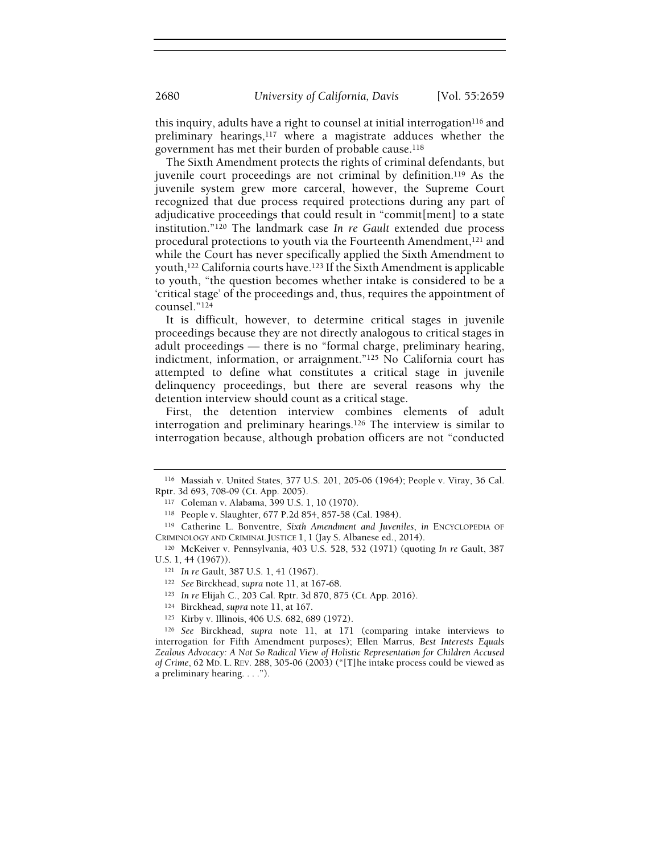this inquiry, adults have a right to counsel at initial interrogation<sup>116</sup> and preliminary hearings,117 where a magistrate adduces whether the government has met their burden of probable cause.<sup>118</sup>

The Sixth Amendment protects the rights of criminal defendants, but juvenile court proceedings are not criminal by definition.119 As the juvenile system grew more carceral, however, the Supreme Court recognized that due process required protections during any part of adjudicative proceedings that could result in "commit[ment] to a state institution."120 The landmark case In re Gault extended due process procedural protections to youth via the Fourteenth Amendment,121 and while the Court has never specifically applied the Sixth Amendment to youth,122 California courts have.123 If the Sixth Amendment is applicable to youth, "the question becomes whether intake is considered to be a 'critical stage' of the proceedings and, thus, requires the appointment of counsel."<sup>124</sup>

It is difficult, however, to determine critical stages in juvenile proceedings because they are not directly analogous to critical stages in adult proceedings — there is no "formal charge, preliminary hearing, indictment, information, or arraignment."125 No California court has attempted to define what constitutes a critical stage in juvenile delinquency proceedings, but there are several reasons why the detention interview should count as a critical stage.

First, the detention interview combines elements of adult interrogation and preliminary hearings.126 The interview is similar to interrogation because, although probation officers are not "conducted

<sup>116</sup> Massiah v. United States, 377 U.S. 201, 205-06 (1964); People v. Viray, 36 Cal. Rptr. 3d 693, 708-09 (Ct. App. 2005).

<sup>117</sup> Coleman v. Alabama, 399 U.S. 1, 10 (1970).

<sup>118</sup> People v. Slaughter, 677 P.2d 854, 857-58 (Cal. 1984).

<sup>119</sup> Catherine L. Bonventre, Sixth Amendment and Juveniles, in ENCYCLOPEDIA OF CRIMINOLOGY AND CRIMINAL JUSTICE 1, 1 (Jay S. Albanese ed., 2014).

<sup>120</sup> McKeiver v. Pennsylvania, 403 U.S. 528, 532 (1971) (quoting In re Gault, 387 U.S. 1, 44 (1967)).

<sup>121</sup> In re Gault, 387 U.S. 1, 41 (1967).

<sup>122</sup> See Birckhead, supra note 11, at 167-68.

<sup>123</sup> In re Elijah C., 203 Cal. Rptr. 3d 870, 875 (Ct. App. 2016).

<sup>124</sup> Birckhead, supra note 11, at 167.

<sup>125</sup> Kirby v. Illinois, 406 U.S. 682, 689 (1972).

<sup>126</sup> See Birckhead, supra note 11, at 171 (comparing intake interviews to interrogation for Fifth Amendment purposes); Ellen Marrus, Best Interests Equals Zealous Advocacy: A Not So Radical View of Holistic Representation for Children Accused of Crime, 62 MD. L. REV. 288, 305-06 (2003) ("[T]he intake process could be viewed as a preliminary hearing. . . .").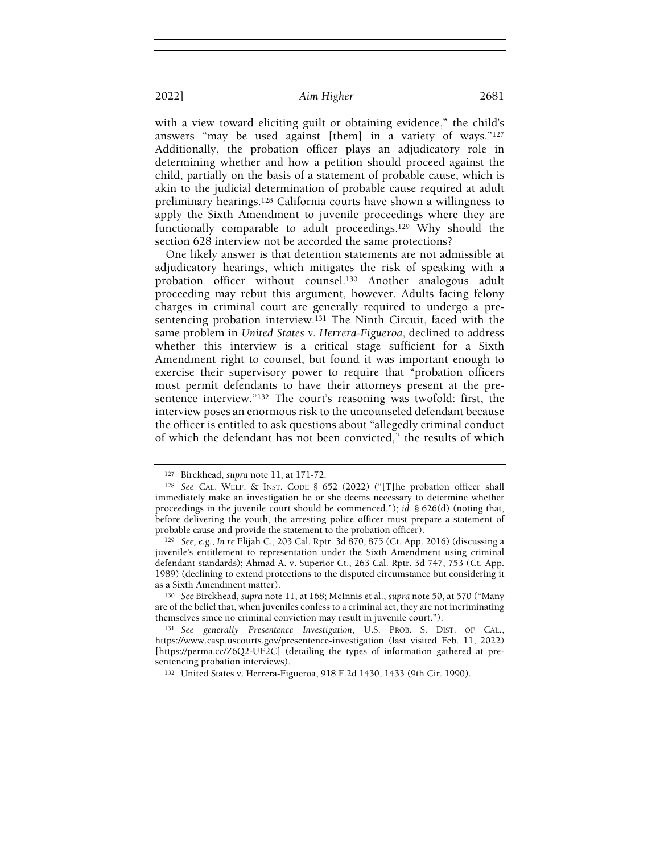with a view toward eliciting guilt or obtaining evidence," the child's answers "may be used against [them] in a variety of ways."<sup>127</sup> Additionally, the probation officer plays an adjudicatory role in determining whether and how a petition should proceed against the child, partially on the basis of a statement of probable cause, which is akin to the judicial determination of probable cause required at adult preliminary hearings.128 California courts have shown a willingness to apply the Sixth Amendment to juvenile proceedings where they are functionally comparable to adult proceedings.129 Why should the section 628 interview not be accorded the same protections?

One likely answer is that detention statements are not admissible at adjudicatory hearings, which mitigates the risk of speaking with a probation officer without counsel.130 Another analogous adult proceeding may rebut this argument, however. Adults facing felony charges in criminal court are generally required to undergo a presentencing probation interview.131 The Ninth Circuit, faced with the same problem in United States v. Herrera-Figueroa, declined to address whether this interview is a critical stage sufficient for a Sixth Amendment right to counsel, but found it was important enough to exercise their supervisory power to require that "probation officers must permit defendants to have their attorneys present at the presentence interview."132 The court's reasoning was twofold: first, the interview poses an enormous risk to the uncounseled defendant because the officer is entitled to ask questions about "allegedly criminal conduct of which the defendant has not been convicted," the results of which

<sup>127</sup> Birckhead, supra note 11, at 171-72.

<sup>128</sup> See CAL. WELF. & INST. CODE § 652 (2022) ("[T]he probation officer shall immediately make an investigation he or she deems necessary to determine whether proceedings in the juvenile court should be commenced."); id. § 626(d) (noting that, before delivering the youth, the arresting police officer must prepare a statement of probable cause and provide the statement to the probation officer).

<sup>129</sup> See, e.g., In re Elijah C., 203 Cal. Rptr. 3d 870, 875 (Ct. App. 2016) (discussing a juvenile's entitlement to representation under the Sixth Amendment using criminal defendant standards); Ahmad A. v. Superior Ct., 263 Cal. Rptr. 3d 747, 753 (Ct. App. 1989) (declining to extend protections to the disputed circumstance but considering it as a Sixth Amendment matter).

<sup>130</sup> See Birckhead, supra note 11, at 168; McInnis et al., supra note 50, at 570 ("Many are of the belief that, when juveniles confess to a criminal act, they are not incriminating themselves since no criminal conviction may result in juvenile court.").

<sup>131</sup> See generally Presentence Investigation, U.S. PROB. S. DIST. OF CAL., https://www.casp.uscourts.gov/presentence-investigation (last visited Feb. 11, 2022) [https://perma.cc/Z6Q2-UE2C] (detailing the types of information gathered at presentencing probation interviews).

<sup>132</sup> United States v. Herrera-Figueroa, 918 F.2d 1430, 1433 (9th Cir. 1990).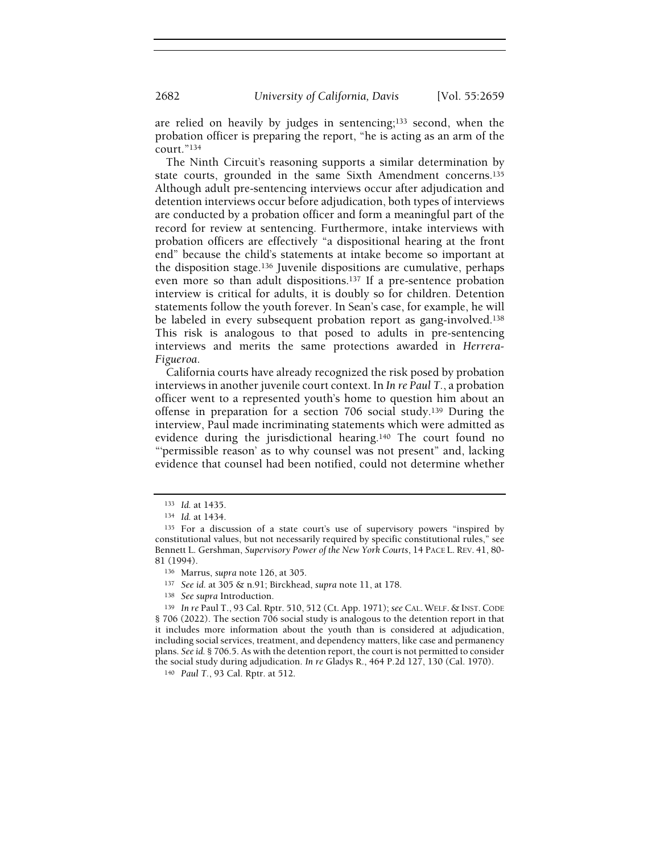are relied on heavily by judges in sentencing;133 second, when the probation officer is preparing the report, "he is acting as an arm of the court."<sup>134</sup>

The Ninth Circuit's reasoning supports a similar determination by state courts, grounded in the same Sixth Amendment concerns.<sup>135</sup> Although adult pre-sentencing interviews occur after adjudication and detention interviews occur before adjudication, both types of interviews are conducted by a probation officer and form a meaningful part of the record for review at sentencing. Furthermore, intake interviews with probation officers are effectively "a dispositional hearing at the front end" because the child's statements at intake become so important at the disposition stage.136 Juvenile dispositions are cumulative, perhaps even more so than adult dispositions.137 If a pre-sentence probation interview is critical for adults, it is doubly so for children. Detention statements follow the youth forever. In Sean's case, for example, he will be labeled in every subsequent probation report as gang-involved.<sup>138</sup> This risk is analogous to that posed to adults in pre-sentencing interviews and merits the same protections awarded in Herrera-Figueroa.

California courts have already recognized the risk posed by probation interviews in another juvenile court context. In In re Paul T., a probation officer went to a represented youth's home to question him about an offense in preparation for a section 706 social study.139 During the interview, Paul made incriminating statements which were admitted as evidence during the jurisdictional hearing.140 The court found no "'permissible reason' as to why counsel was not present" and, lacking evidence that counsel had been notified, could not determine whether

<sup>133</sup> Id. at 1435.

<sup>134</sup> Id. at 1434.

<sup>135</sup> For a discussion of a state court's use of supervisory powers "inspired by constitutional values, but not necessarily required by specific constitutional rules," see Bennett L. Gershman, Supervisory Power of the New York Courts, 14 PACE L. REV. 41, 80- 81 (1994).

<sup>136</sup> Marrus, supra note 126, at 305.

<sup>137</sup> See id. at 305 & n.91; Birckhead, supra note 11, at 178.

<sup>138</sup> See supra Introduction.

<sup>139</sup> In re Paul T., 93 Cal. Rptr. 510, 512 (Ct. App. 1971); see CAL. WELF. & INST. CODE § 706 (2022). The section 706 social study is analogous to the detention report in that it includes more information about the youth than is considered at adjudication, including social services, treatment, and dependency matters, like case and permanency plans. See id. § 706.5. As with the detention report, the court is not permitted to consider the social study during adjudication. In re Gladys R., 464 P.2d 127, 130 (Cal. 1970).

<sup>140</sup> Paul T., 93 Cal. Rptr. at 512.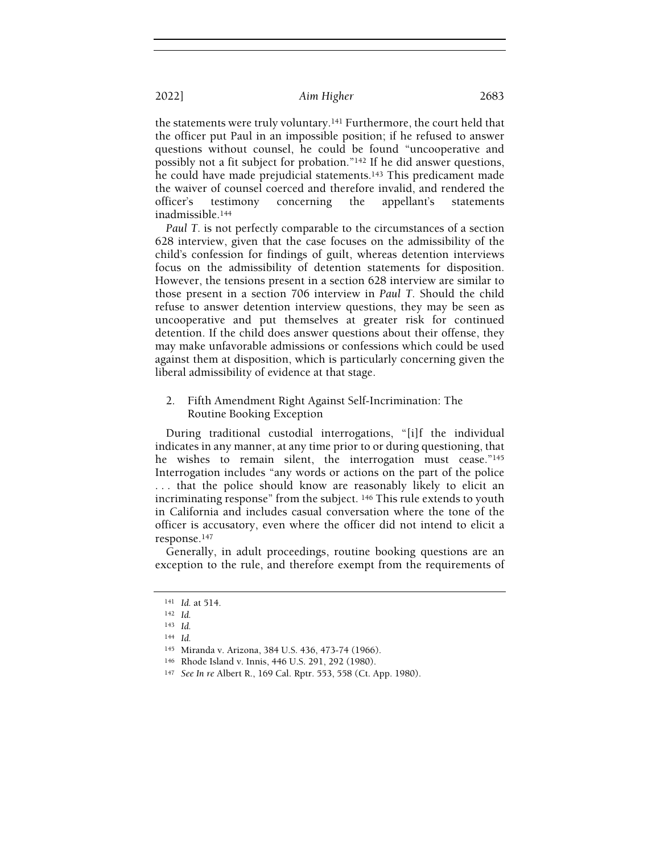the statements were truly voluntary.141 Furthermore, the court held that the officer put Paul in an impossible position; if he refused to answer questions without counsel, he could be found "uncooperative and possibly not a fit subject for probation."142 If he did answer questions, he could have made prejudicial statements.<sup>143</sup> This predicament made the waiver of counsel coerced and therefore invalid, and rendered the officer's testimony concerning the appellant's statements inadmissible.<sup>144</sup>

Paul T. is not perfectly comparable to the circumstances of a section 628 interview, given that the case focuses on the admissibility of the child's confession for findings of guilt, whereas detention interviews focus on the admissibility of detention statements for disposition. However, the tensions present in a section 628 interview are similar to those present in a section 706 interview in Paul T. Should the child refuse to answer detention interview questions, they may be seen as uncooperative and put themselves at greater risk for continued detention. If the child does answer questions about their offense, they may make unfavorable admissions or confessions which could be used against them at disposition, which is particularly concerning given the liberal admissibility of evidence at that stage.

2. Fifth Amendment Right Against Self-Incrimination: The Routine Booking Exception

During traditional custodial interrogations, "[i]f the individual indicates in any manner, at any time prior to or during questioning, that he wishes to remain silent, the interrogation must cease."145 Interrogation includes "any words or actions on the part of the police . . . that the police should know are reasonably likely to elicit an incriminating response" from the subject. 146 This rule extends to youth in California and includes casual conversation where the tone of the officer is accusatory, even where the officer did not intend to elicit a response.<sup>147</sup>

Generally, in adult proceedings, routine booking questions are an exception to the rule, and therefore exempt from the requirements of

<sup>141</sup> Id. at 514.

<sup>142</sup> Id.

<sup>143</sup> Id.

<sup>144</sup> Id.

<sup>145</sup> Miranda v. Arizona, 384 U.S. 436, 473-74 (1966).

<sup>146</sup> Rhode Island v. Innis, 446 U.S. 291, 292 (1980).

<sup>147</sup> See In re Albert R., 169 Cal. Rptr. 553, 558 (Ct. App. 1980).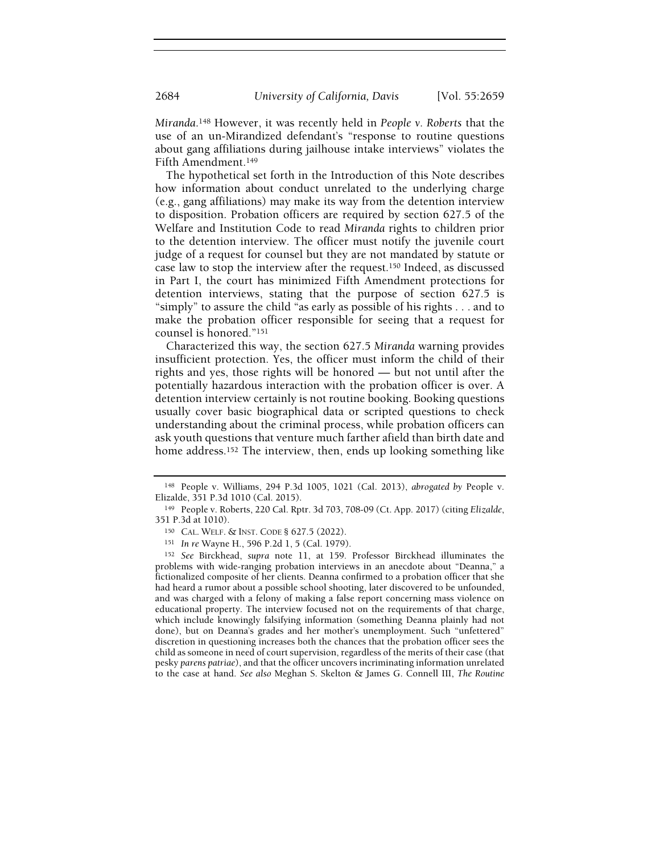Miranda.148 However, it was recently held in People v. Roberts that the use of an un-Mirandized defendant's "response to routine questions about gang affiliations during jailhouse intake interviews" violates the Fifth Amendment.<sup>149</sup>

The hypothetical set forth in the Introduction of this Note describes how information about conduct unrelated to the underlying charge (e.g., gang affiliations) may make its way from the detention interview to disposition. Probation officers are required by section 627.5 of the Welfare and Institution Code to read Miranda rights to children prior to the detention interview. The officer must notify the juvenile court judge of a request for counsel but they are not mandated by statute or case law to stop the interview after the request.150 Indeed, as discussed in Part I, the court has minimized Fifth Amendment protections for detention interviews, stating that the purpose of section 627.5 is "simply" to assure the child "as early as possible of his rights . . . and to make the probation officer responsible for seeing that a request for counsel is honored."<sup>151</sup>

Characterized this way, the section 627.5 Miranda warning provides insufficient protection. Yes, the officer must inform the child of their rights and yes, those rights will be honored — but not until after the potentially hazardous interaction with the probation officer is over. A detention interview certainly is not routine booking. Booking questions usually cover basic biographical data or scripted questions to check understanding about the criminal process, while probation officers can ask youth questions that venture much farther afield than birth date and home address.<sup>152</sup> The interview, then, ends up looking something like

<sup>148</sup> People v. Williams, 294 P.3d 1005, 1021 (Cal. 2013), abrogated by People v. Elizalde, 351 P.3d 1010 (Cal. 2015).

<sup>149</sup> People v. Roberts, 220 Cal. Rptr. 3d 703, 708-09 (Ct. App. 2017) (citing Elizalde, 351 P.3d at 1010).

<sup>150</sup> CAL. WELF. & INST. CODE § 627.5 (2022).

<sup>151</sup> In re Wayne H., 596 P.2d 1, 5 (Cal. 1979).

<sup>152</sup> See Birckhead, supra note 11, at 159. Professor Birckhead illuminates the problems with wide-ranging probation interviews in an anecdote about "Deanna," a fictionalized composite of her clients. Deanna confirmed to a probation officer that she had heard a rumor about a possible school shooting, later discovered to be unfounded, and was charged with a felony of making a false report concerning mass violence on educational property. The interview focused not on the requirements of that charge, which include knowingly falsifying information (something Deanna plainly had not done), but on Deanna's grades and her mother's unemployment. Such "unfettered" discretion in questioning increases both the chances that the probation officer sees the child as someone in need of court supervision, regardless of the merits of their case (that pesky parens patriae), and that the officer uncovers incriminating information unrelated to the case at hand. See also Meghan S. Skelton & James G. Connell III, The Routine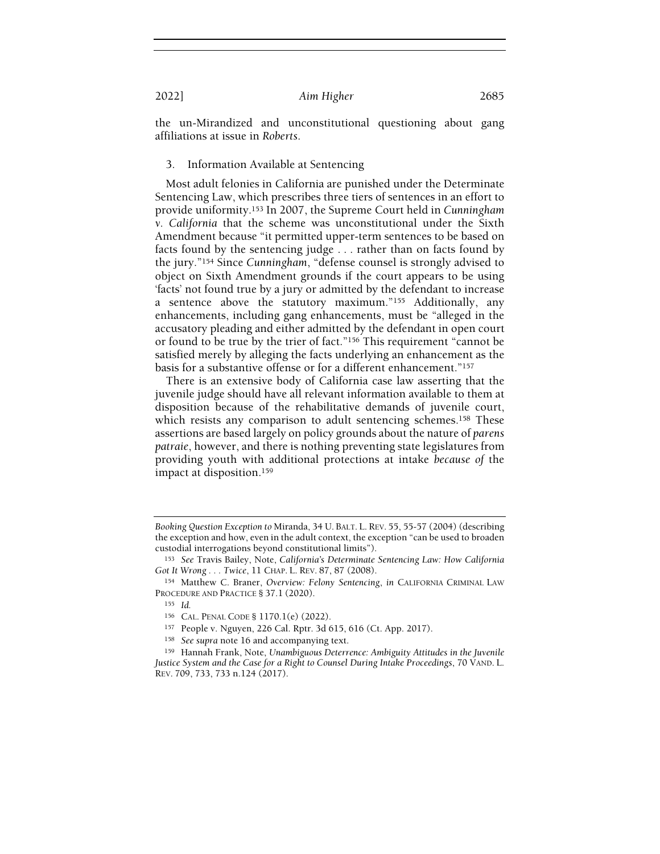the un-Mirandized and unconstitutional questioning about gang affiliations at issue in Roberts.

#### 3. Information Available at Sentencing

Most adult felonies in California are punished under the Determinate Sentencing Law, which prescribes three tiers of sentences in an effort to provide uniformity.153 In 2007, the Supreme Court held in Cunningham v. California that the scheme was unconstitutional under the Sixth Amendment because "it permitted upper-term sentences to be based on facts found by the sentencing judge . . . rather than on facts found by the jury."154 Since Cunningham, "defense counsel is strongly advised to object on Sixth Amendment grounds if the court appears to be using 'facts' not found true by a jury or admitted by the defendant to increase a sentence above the statutory maximum."155 Additionally, any enhancements, including gang enhancements, must be "alleged in the accusatory pleading and either admitted by the defendant in open court or found to be true by the trier of fact."156 This requirement "cannot be satisfied merely by alleging the facts underlying an enhancement as the basis for a substantive offense or for a different enhancement."<sup>157</sup>

There is an extensive body of California case law asserting that the juvenile judge should have all relevant information available to them at disposition because of the rehabilitative demands of juvenile court, which resists any comparison to adult sentencing schemes.<sup>158</sup> These assertions are based largely on policy grounds about the nature of parens patraie, however, and there is nothing preventing state legislatures from providing youth with additional protections at intake because of the impact at disposition.<sup>159</sup>

Booking Question Exception to Miranda, 34 U. BALT. L. REV. 55, 55-57 (2004) (describing the exception and how, even in the adult context, the exception "can be used to broaden custodial interrogations beyond constitutional limits").

<sup>153</sup> See Travis Bailey, Note, California's Determinate Sentencing Law: How California Got It Wrong . . . Twice, 11 CHAP. L. REV. 87, 87 (2008).

<sup>154</sup> Matthew C. Braner, Overview: Felony Sentencing, in CALIFORNIA CRIMINAL LAW PROCEDURE AND PRACTICE § 37.1 (2020).

<sup>155</sup> Id.

<sup>156</sup> CAL. PENAL CODE § 1170.1(e) (2022).

<sup>157</sup> People v. Nguyen, 226 Cal. Rptr. 3d 615, 616 (Ct. App. 2017).

<sup>158</sup> See supra note 16 and accompanying text.

<sup>159</sup> Hannah Frank, Note, Unambiguous Deterrence: Ambiguity Attitudes in the Juvenile Justice System and the Case for a Right to Counsel During Intake Proceedings, 70 VAND. L. REV. 709, 733, 733 n.124 (2017).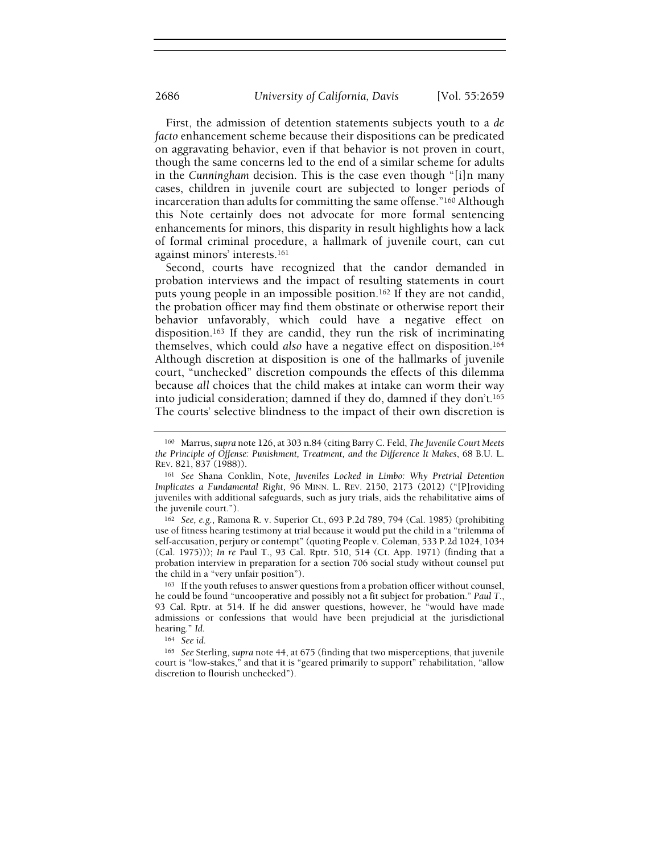First, the admission of detention statements subjects youth to a de facto enhancement scheme because their dispositions can be predicated on aggravating behavior, even if that behavior is not proven in court, though the same concerns led to the end of a similar scheme for adults in the Cunningham decision. This is the case even though "[i]n many cases, children in juvenile court are subjected to longer periods of incarceration than adults for committing the same offense."160 Although this Note certainly does not advocate for more formal sentencing enhancements for minors, this disparity in result highlights how a lack of formal criminal procedure, a hallmark of juvenile court, can cut against minors' interests.<sup>161</sup>

Second, courts have recognized that the candor demanded in probation interviews and the impact of resulting statements in court puts young people in an impossible position.162 If they are not candid, the probation officer may find them obstinate or otherwise report their behavior unfavorably, which could have a negative effect on disposition.163 If they are candid, they run the risk of incriminating themselves, which could also have a negative effect on disposition.<sup>164</sup> Although discretion at disposition is one of the hallmarks of juvenile court, "unchecked" discretion compounds the effects of this dilemma because all choices that the child makes at intake can worm their way into judicial consideration; damned if they do, damned if they don't.<sup>165</sup> The courts' selective blindness to the impact of their own discretion is

<sup>&</sup>lt;sup>160</sup> Marrus, supra note 126, at 303 n.84 (citing Barry C. Feld, The Juvenile Court Meets the Principle of Offense: Punishment, Treatment, and the Difference It Makes, 68 B.U. L. REV. 821, 837 (1988)).

<sup>161</sup> See Shana Conklin, Note, Juveniles Locked in Limbo: Why Pretrial Detention Implicates a Fundamental Right, 96 MINN. L. REV. 2150, 2173 (2012) ("[P]roviding juveniles with additional safeguards, such as jury trials, aids the rehabilitative aims of the juvenile court.").

<sup>162</sup> See, e.g., Ramona R. v. Superior Ct., 693 P.2d 789, 794 (Cal. 1985) (prohibiting use of fitness hearing testimony at trial because it would put the child in a "trilemma of self-accusation, perjury or contempt" (quoting People v. Coleman, 533 P.2d 1024, 1034 (Cal. 1975))); In re Paul T., 93 Cal. Rptr. 510, 514 (Ct. App. 1971) (finding that a probation interview in preparation for a section 706 social study without counsel put the child in a "very unfair position").

<sup>&</sup>lt;sup>163</sup> If the youth refuses to answer questions from a probation officer without counsel, he could be found "uncooperative and possibly not a fit subject for probation." Paul T., 93 Cal. Rptr. at 514. If he did answer questions, however, he "would have made admissions or confessions that would have been prejudicial at the jurisdictional hearing." Id.

<sup>164</sup> See id.

<sup>&</sup>lt;sup>165</sup> See Sterling, supra note 44, at 675 (finding that two misperceptions, that juvenile court is "low-stakes," and that it is "geared primarily to support" rehabilitation, "allow discretion to flourish unchecked").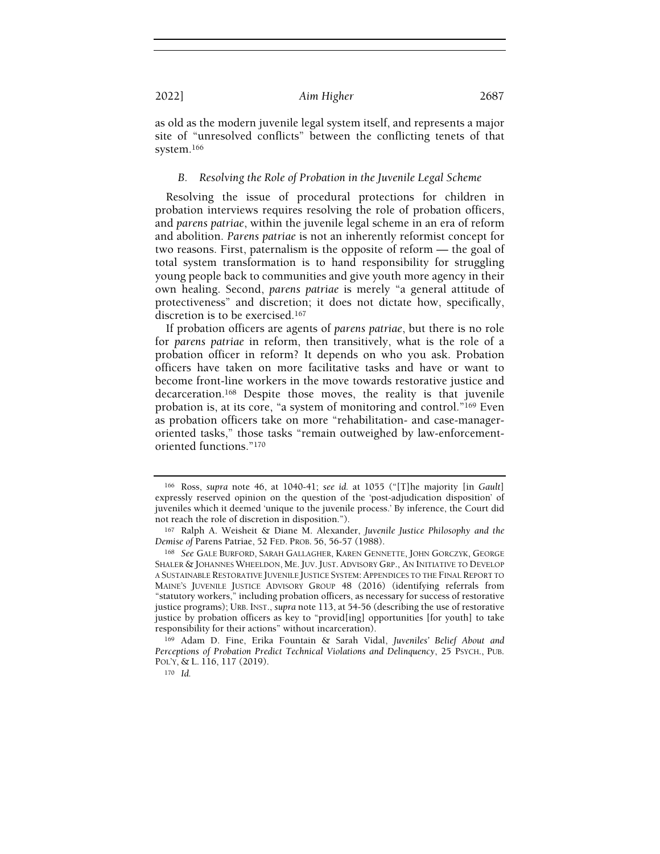as old as the modern juvenile legal system itself, and represents a major site of "unresolved conflicts" between the conflicting tenets of that system.<sup>166</sup>

## B. Resolving the Role of Probation in the Juvenile Legal Scheme

Resolving the issue of procedural protections for children in probation interviews requires resolving the role of probation officers, and parens patriae, within the juvenile legal scheme in an era of reform and abolition. Parens patriae is not an inherently reformist concept for two reasons. First, paternalism is the opposite of reform — the goal of total system transformation is to hand responsibility for struggling young people back to communities and give youth more agency in their own healing. Second, parens patriae is merely "a general attitude of protectiveness" and discretion; it does not dictate how, specifically, discretion is to be exercised.<sup>167</sup>

If probation officers are agents of parens patriae, but there is no role for parens patriae in reform, then transitively, what is the role of a probation officer in reform? It depends on who you ask. Probation officers have taken on more facilitative tasks and have or want to become front-line workers in the move towards restorative justice and decarceration.168 Despite those moves, the reality is that juvenile probation is, at its core, "a system of monitoring and control."169 Even as probation officers take on more "rehabilitation- and case-manageroriented tasks," those tasks "remain outweighed by law-enforcementoriented functions."<sup>170</sup>

<sup>166</sup> Ross, supra note 46, at 1040-41; see id. at 1055 ("[T]he majority [in Gault] expressly reserved opinion on the question of the 'post-adjudication disposition' of juveniles which it deemed 'unique to the juvenile process.' By inference, the Court did not reach the role of discretion in disposition.").

<sup>167</sup> Ralph A. Weisheit & Diane M. Alexander, Juvenile Justice Philosophy and the Demise of Parens Patriae, 52 FED. PROB. 56, 56-57 (1988).

<sup>168</sup> See GALE BURFORD, SARAH GALLAGHER, KAREN GENNETTE, JOHN GORCZYK, GEORGE SHALER & JOHANNES WHEELDON, ME. JUV. JUST. ADVISORY GRP., AN INITIATIVE TO DEVELOP A SUSTAINABLE RESTORATIVE JUVENILE JUSTICE SYSTEM: APPENDICES TO THE FINAL REPORT TO MAINE'S JUVENILE JUSTICE ADVISORY GROUP 48 (2016) (identifying referrals from "statutory workers," including probation officers, as necessary for success of restorative justice programs); URB. INST., supra note 113, at 54-56 (describing the use of restorative justice by probation officers as key to "provid[ing] opportunities [for youth] to take responsibility for their actions" without incarceration).

<sup>169</sup> Adam D. Fine, Erika Fountain & Sarah Vidal, Juveniles' Belief About and Perceptions of Probation Predict Technical Violations and Delinquency, 25 PSYCH., PUB. POL'Y, & L. 116, 117 (2019).

 $170$  *Id.*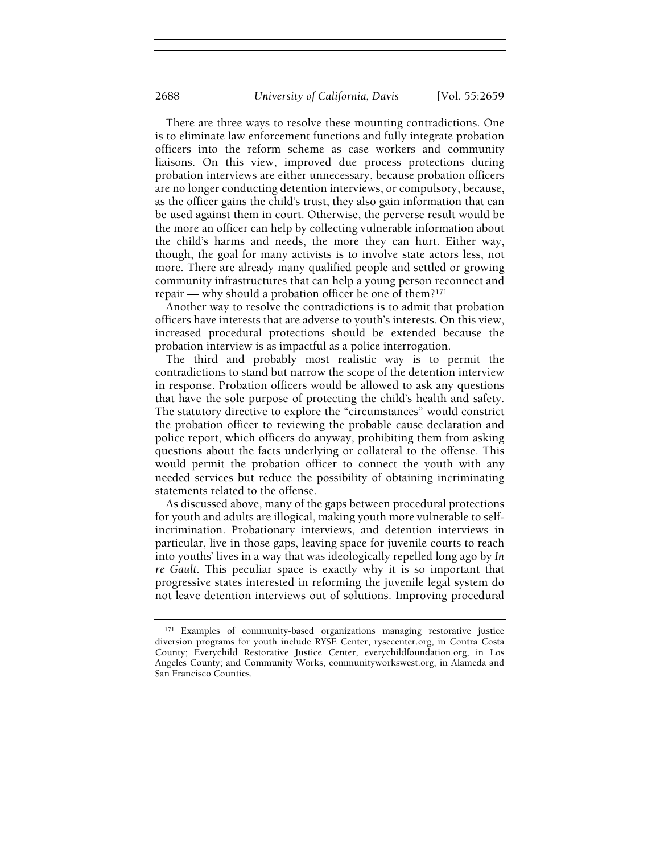There are three ways to resolve these mounting contradictions. One is to eliminate law enforcement functions and fully integrate probation officers into the reform scheme as case workers and community liaisons. On this view, improved due process protections during probation interviews are either unnecessary, because probation officers are no longer conducting detention interviews, or compulsory, because, as the officer gains the child's trust, they also gain information that can be used against them in court. Otherwise, the perverse result would be the more an officer can help by collecting vulnerable information about the child's harms and needs, the more they can hurt. Either way, though, the goal for many activists is to involve state actors less, not more. There are already many qualified people and settled or growing community infrastructures that can help a young person reconnect and repair — why should a probation officer be one of them?<sup>171</sup>

Another way to resolve the contradictions is to admit that probation officers have interests that are adverse to youth's interests. On this view, increased procedural protections should be extended because the probation interview is as impactful as a police interrogation.

The third and probably most realistic way is to permit the contradictions to stand but narrow the scope of the detention interview in response. Probation officers would be allowed to ask any questions that have the sole purpose of protecting the child's health and safety. The statutory directive to explore the "circumstances" would constrict the probation officer to reviewing the probable cause declaration and police report, which officers do anyway, prohibiting them from asking questions about the facts underlying or collateral to the offense. This would permit the probation officer to connect the youth with any needed services but reduce the possibility of obtaining incriminating statements related to the offense.

As discussed above, many of the gaps between procedural protections for youth and adults are illogical, making youth more vulnerable to selfincrimination. Probationary interviews, and detention interviews in particular, live in those gaps, leaving space for juvenile courts to reach into youths' lives in a way that was ideologically repelled long ago by In re Gault. This peculiar space is exactly why it is so important that progressive states interested in reforming the juvenile legal system do not leave detention interviews out of solutions. Improving procedural

<sup>&</sup>lt;sup>171</sup> Examples of community-based organizations managing restorative justice diversion programs for youth include RYSE Center, rysecenter.org, in Contra Costa County; Everychild Restorative Justice Center, everychildfoundation.org, in Los Angeles County; and Community Works, communityworkswest.org, in Alameda and San Francisco Counties.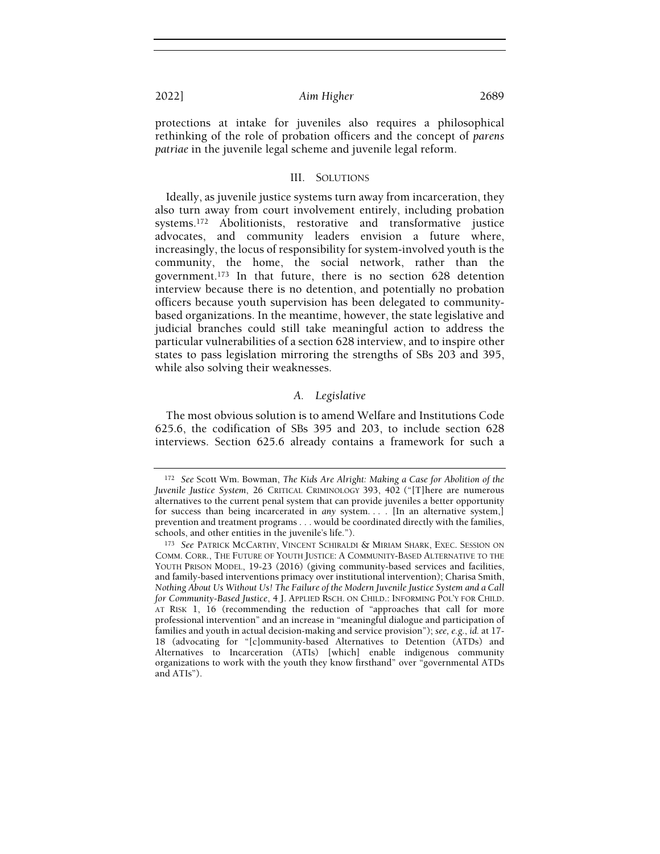protections at intake for juveniles also requires a philosophical rethinking of the role of probation officers and the concept of parens patriae in the juvenile legal scheme and juvenile legal reform.

## III. SOLUTIONS

Ideally, as juvenile justice systems turn away from incarceration, they also turn away from court involvement entirely, including probation systems.172 Abolitionists, restorative and transformative justice advocates, and community leaders envision a future where, increasingly, the locus of responsibility for system-involved youth is the community, the home, the social network, rather than the government.173 In that future, there is no section 628 detention interview because there is no detention, and potentially no probation officers because youth supervision has been delegated to communitybased organizations. In the meantime, however, the state legislative and judicial branches could still take meaningful action to address the particular vulnerabilities of a section 628 interview, and to inspire other states to pass legislation mirroring the strengths of SBs 203 and 395, while also solving their weaknesses.

## A. Legislative

The most obvious solution is to amend Welfare and Institutions Code 625.6, the codification of SBs 395 and 203, to include section 628 interviews. Section 625.6 already contains a framework for such a

<sup>172</sup> See Scott Wm. Bowman, The Kids Are Alright: Making a Case for Abolition of the Juvenile Justice System, 26 CRITICAL CRIMINOLOGY 393, 402 ("[T]here are numerous alternatives to the current penal system that can provide juveniles a better opportunity for success than being incarcerated in any system. . . . [In an alternative system,] prevention and treatment programs . . . would be coordinated directly with the families, schools, and other entities in the juvenile's life.").

<sup>173</sup> See PATRICK MCCARTHY, VINCENT SCHIRALDI & MIRIAM SHARK, EXEC. SESSION ON COMM. CORR., THE FUTURE OF YOUTH JUSTICE: A COMMUNITY-BASED ALTERNATIVE TO THE YOUTH PRISON MODEL, 19-23 (2016) (giving community-based services and facilities, and family-based interventions primacy over institutional intervention); Charisa Smith, Nothing About Us Without Us! The Failure of the Modern Juvenile Justice System and a Call for Community-Based Justice, 4 J. APPLIED RSCH. ON CHILD.: INFORMING POL'Y FOR CHILD. AT RISK 1, 16 (recommending the reduction of "approaches that call for more professional intervention" and an increase in "meaningful dialogue and participation of families and youth in actual decision-making and service provision"); see, e.g., id. at 17- 18 (advocating for "[c]ommunity-based Alternatives to Detention (ATDs) and Alternatives to Incarceration (ATIs) [which] enable indigenous community organizations to work with the youth they know firsthand" over "governmental ATDs and ATIs").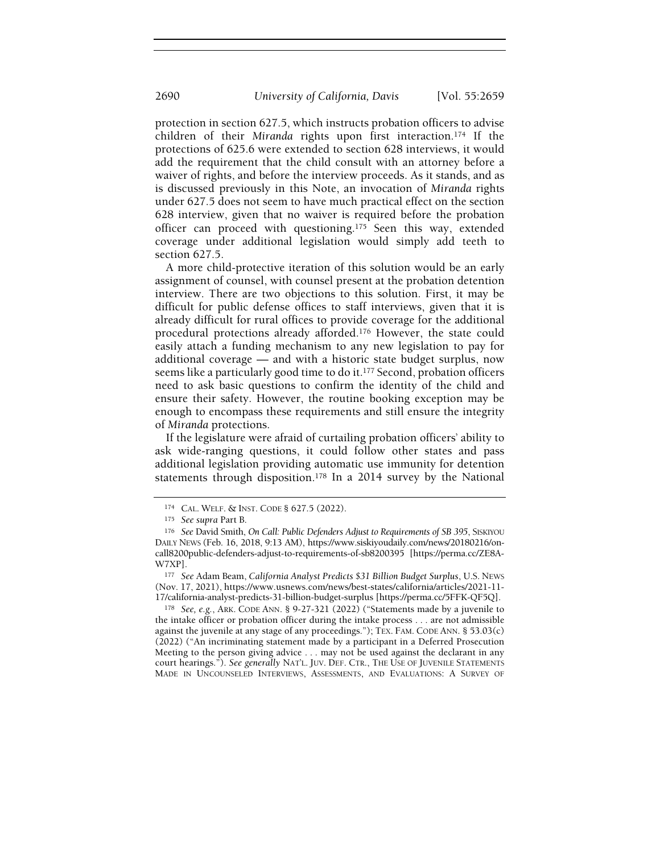protection in section 627.5, which instructs probation officers to advise children of their Miranda rights upon first interaction.174 If the protections of 625.6 were extended to section 628 interviews, it would add the requirement that the child consult with an attorney before a waiver of rights, and before the interview proceeds. As it stands, and as is discussed previously in this Note, an invocation of Miranda rights under 627.5 does not seem to have much practical effect on the section 628 interview, given that no waiver is required before the probation officer can proceed with questioning.175 Seen this way, extended coverage under additional legislation would simply add teeth to section 627.5.

A more child-protective iteration of this solution would be an early assignment of counsel, with counsel present at the probation detention interview. There are two objections to this solution. First, it may be difficult for public defense offices to staff interviews, given that it is already difficult for rural offices to provide coverage for the additional procedural protections already afforded.176 However, the state could easily attach a funding mechanism to any new legislation to pay for additional coverage — and with a historic state budget surplus, now seems like a particularly good time to do it.<sup>177</sup> Second, probation officers need to ask basic questions to confirm the identity of the child and ensure their safety. However, the routine booking exception may be enough to encompass these requirements and still ensure the integrity of Miranda protections.

If the legislature were afraid of curtailing probation officers' ability to ask wide-ranging questions, it could follow other states and pass additional legislation providing automatic use immunity for detention statements through disposition.178 In a 2014 survey by the National

<sup>174</sup> CAL. WELF. & INST. CODE § 627.5 (2022).

<sup>175</sup> See supra Part B.

<sup>176</sup> See David Smith, On Call: Public Defenders Adjust to Requirements of SB 395, SISKIYOU DAILY NEWS (Feb. 16, 2018, 9:13 AM), https://www.siskiyoudaily.com/news/20180216/oncall8200public-defenders-adjust-to-requirements-of-sb8200395 [https://perma.cc/ZE8A-W7XP].

<sup>177</sup> See Adam Beam, California Analyst Predicts \$31 Billion Budget Surplus, U.S. NEWS (Nov. 17, 2021), https://www.usnews.com/news/best-states/california/articles/2021-11- 17/california-analyst-predicts-31-billion-budget-surplus [https://perma.cc/5FFK-QF5Q].

<sup>178</sup> See, e.g., ARK. CODE ANN. § 9-27-321 (2022) ("Statements made by a juvenile to the intake officer or probation officer during the intake process . . . are not admissible against the juvenile at any stage of any proceedings."); TEX. FAM. CODE ANN. § 53.03(c) (2022) ("An incriminating statement made by a participant in a Deferred Prosecution Meeting to the person giving advice . . . may not be used against the declarant in any court hearings."). See generally NAT'L. JUV. DEF. CTR., THE USE OF JUVENILE STATEMENTS MADE IN UNCOUNSELED INTERVIEWS, ASSESSMENTS, AND EVALUATIONS: A SURVEY OF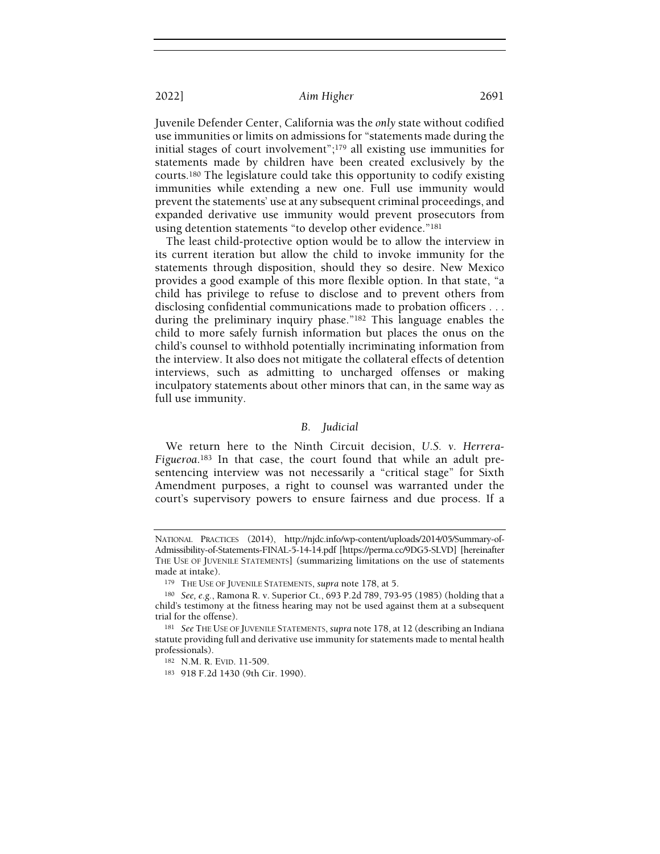Juvenile Defender Center, California was the only state without codified use immunities or limits on admissions for "statements made during the initial stages of court involvement";179 all existing use immunities for statements made by children have been created exclusively by the courts.180 The legislature could take this opportunity to codify existing immunities while extending a new one. Full use immunity would prevent the statements' use at any subsequent criminal proceedings, and expanded derivative use immunity would prevent prosecutors from using detention statements "to develop other evidence."<sup>181</sup>

The least child-protective option would be to allow the interview in its current iteration but allow the child to invoke immunity for the statements through disposition, should they so desire. New Mexico provides a good example of this more flexible option. In that state, "a child has privilege to refuse to disclose and to prevent others from disclosing confidential communications made to probation officers . . . during the preliminary inquiry phase."182 This language enables the child to more safely furnish information but places the onus on the child's counsel to withhold potentially incriminating information from the interview. It also does not mitigate the collateral effects of detention interviews, such as admitting to uncharged offenses or making inculpatory statements about other minors that can, in the same way as full use immunity.

#### B. Judicial

We return here to the Ninth Circuit decision, U.S. v. Herrera-Figueroa.183 In that case, the court found that while an adult presentencing interview was not necessarily a "critical stage" for Sixth Amendment purposes, a right to counsel was warranted under the court's supervisory powers to ensure fairness and due process. If a

NATIONAL PRACTICES (2014), http://njdc.info/wp-content/uploads/2014/05/Summary-of-Admissibility-of-Statements-FINAL-5-14-14.pdf [https://perma.cc/9DG5-SLVD] [hereinafter THE USE OF JUVENILE STATEMENTS] (summarizing limitations on the use of statements made at intake).

<sup>&</sup>lt;sup>179</sup> THE USE OF JUVENILE STATEMENTS, supra note 178, at 5.

<sup>180</sup> See, e.g., Ramona R. v. Superior Ct., 693 P.2d 789, 793-95 (1985) (holding that a child's testimony at the fitness hearing may not be used against them at a subsequent trial for the offense).

<sup>181</sup> See THE USE OF JUVENILE STATEMENTS, supra note 178, at 12 (describing an Indiana statute providing full and derivative use immunity for statements made to mental health professionals).

<sup>182</sup> N.M. R. EVID. 11-509.

<sup>183</sup> 918 F.2d 1430 (9th Cir. 1990).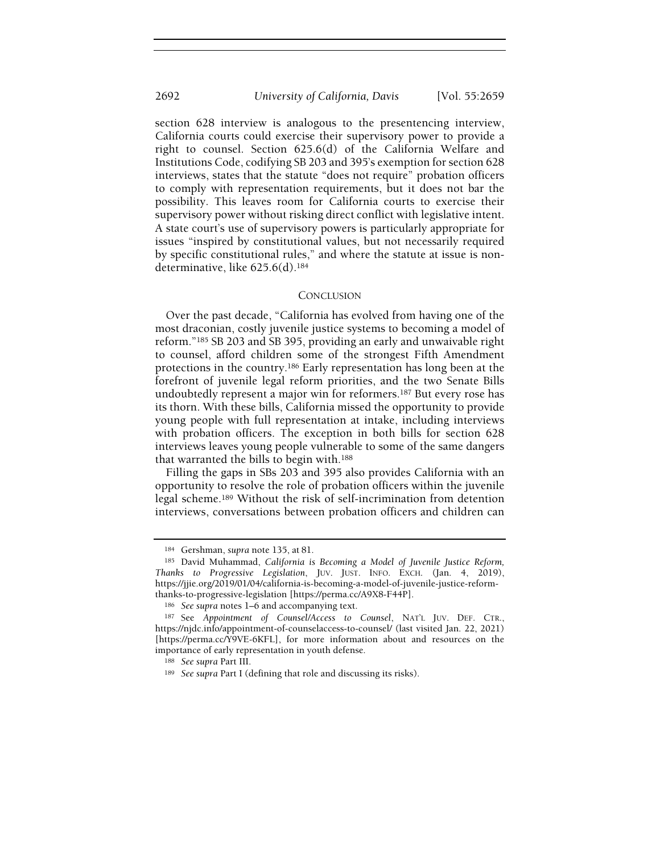section 628 interview is analogous to the presentencing interview, California courts could exercise their supervisory power to provide a right to counsel. Section 625.6(d) of the California Welfare and Institutions Code, codifying SB 203 and 395's exemption for section 628 interviews, states that the statute "does not require" probation officers to comply with representation requirements, but it does not bar the possibility. This leaves room for California courts to exercise their supervisory power without risking direct conflict with legislative intent. A state court's use of supervisory powers is particularly appropriate for issues "inspired by constitutional values, but not necessarily required by specific constitutional rules," and where the statute at issue is nondeterminative, like 625.6(d).<sup>184</sup>

#### **CONCLUSION**

Over the past decade, "California has evolved from having one of the most draconian, costly juvenile justice systems to becoming a model of reform."185 SB 203 and SB 395, providing an early and unwaivable right to counsel, afford children some of the strongest Fifth Amendment protections in the country.186 Early representation has long been at the forefront of juvenile legal reform priorities, and the two Senate Bills undoubtedly represent a major win for reformers.187 But every rose has its thorn. With these bills, California missed the opportunity to provide young people with full representation at intake, including interviews with probation officers. The exception in both bills for section 628 interviews leaves young people vulnerable to some of the same dangers that warranted the bills to begin with.<sup>188</sup>

Filling the gaps in SBs 203 and 395 also provides California with an opportunity to resolve the role of probation officers within the juvenile legal scheme.189 Without the risk of self-incrimination from detention interviews, conversations between probation officers and children can

<sup>184</sup> Gershman, supra note 135, at 81.

<sup>185</sup> David Muhammad, California is Becoming a Model of Juvenile Justice Reform, Thanks to Progressive Legislation, JUV. JUST. INFO. EXCH. (Jan. 4, 2019), https://jjie.org/2019/01/04/california-is-becoming-a-model-of-juvenile-justice-reformthanks-to-progressive-legislation [https://perma.cc/A9X8-F44P].

<sup>186</sup> See supra notes 1–6 and accompanying text.

<sup>187</sup> See Appointment of Counsel/Access to Counsel, NAT'L JUV. DEF. CTR., https://njdc.info/appointment-of-counselaccess-to-counsel/ (last visited Jan. 22, 2021) [https://perma.cc/Y9VE-6KFL], for more information about and resources on the importance of early representation in youth defense.

<sup>188</sup> See supra Part III.

<sup>189</sup> See supra Part I (defining that role and discussing its risks).